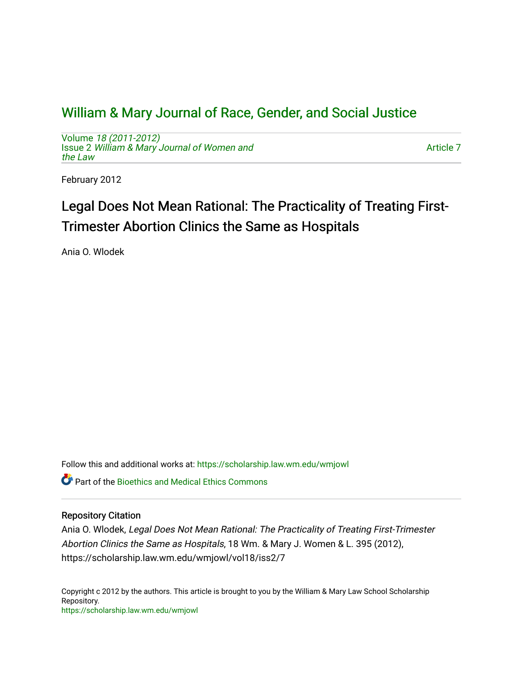# [William & Mary Journal of Race, Gender, and Social Justice](https://scholarship.law.wm.edu/wmjowl)

Volume [18 \(2011-2012\)](https://scholarship.law.wm.edu/wmjowl/vol18)  Issue 2 [William & Mary Journal of Women and](https://scholarship.law.wm.edu/wmjowl/vol18/iss2) [the Law](https://scholarship.law.wm.edu/wmjowl/vol18/iss2)

[Article 7](https://scholarship.law.wm.edu/wmjowl/vol18/iss2/7) 

February 2012

# Legal Does Not Mean Rational: The Practicality of Treating First-Trimester Abortion Clinics the Same as Hospitals

Ania O. Wlodek

Follow this and additional works at: [https://scholarship.law.wm.edu/wmjowl](https://scholarship.law.wm.edu/wmjowl?utm_source=scholarship.law.wm.edu%2Fwmjowl%2Fvol18%2Fiss2%2F7&utm_medium=PDF&utm_campaign=PDFCoverPages) 

**Part of the Bioethics and Medical Ethics Commons** 

# Repository Citation

Ania O. Wlodek, Legal Does Not Mean Rational: The Practicality of Treating First-Trimester Abortion Clinics the Same as Hospitals, 18 Wm. & Mary J. Women & L. 395 (2012), https://scholarship.law.wm.edu/wmjowl/vol18/iss2/7

Copyright c 2012 by the authors. This article is brought to you by the William & Mary Law School Scholarship Repository. <https://scholarship.law.wm.edu/wmjowl>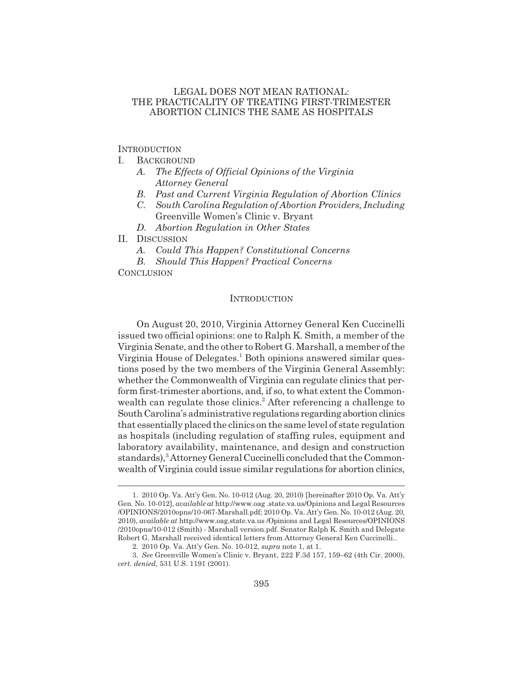## LEGAL DOES NOT MEAN RATIONAL: THE PRACTICALITY OF TREATING FIRST-TRIMESTER ABORTION CLINICS THE SAME AS HOSPITALS

**INTRODUCTION** 

- I. BACKGROUND
	- *A. The Effects of Official Opinions of the Virginia Attorney General*
	- *B. Past and Current Virginia Regulation of Abortion Clinics*
	- *C. South Carolina Regulation of Abortion Providers, Including* Greenville Women's Clinic v. Bryant
	- *D. Abortion Regulation in Other States*
- II. DISCUSSION
	- *A. Could This Happen? Constitutional Concerns*
	- *B. Should This Happen? Practical Concerns*

**CONCLUSION** 

#### INTRODUCTION

On August 20, 2010, Virginia Attorney General Ken Cuccinelli issued two official opinions: one to Ralph K. Smith, a member of the Virginia Senate, and the other to Robert G. Marshall, a member of the Virginia House of Delegates.<sup>1</sup> Both opinions answered similar questions posed by the two members of the Virginia General Assembly: whether the Commonwealth of Virginia can regulate clinics that perform first-trimester abortions, and, if so, to what extent the Commonwealth can regulate those clinics.<sup>2</sup> After referencing a challenge to South Carolina's administrative regulations regarding abortion clinics that essentially placed the clinics on the same level of state regulation as hospitals (including regulation of staffing rules, equipment and laboratory availability, maintenance, and design and construction standards),<sup>3</sup> Attorney General Cuccinelli concluded that the Commonwealth of Virginia could issue similar regulations for abortion clinics,

<sup>1. 2010</sup> Op. Va. Att'y Gen. No. 10-012 (Aug. 20, 2010) [hereinafter 2010 Op. Va. Att'y Gen. No. 10-012], *available at* http://www.oag .state.va.us/Opinions and Legal Resources /OPINIONS/2010opns/10-067-Marshall.pdf; 2010 Op. Va. Att'y Gen. No. 10-012 (Aug. 20, 2010), *available at* http://www.oag.state.va.us /Opinions and Legal Resources/OPINIONS /2010opns/10-012 (Smith) - Marshall version.pdf. Senator Ralph K. Smith and Delegate Robert G. Marshall received identical letters from Attorney General Ken Cuccinelli..

<sup>2. 2010</sup> Op. Va. Att'y Gen. No. 10-012, *supra* note 1, at 1.

<sup>3.</sup> *See* Greenville Women's Clinic v. Bryant, 222 F.3d 157, 159–62 (4th Cir. 2000), *cert. denied,* 531 U.S. 1191 (2001).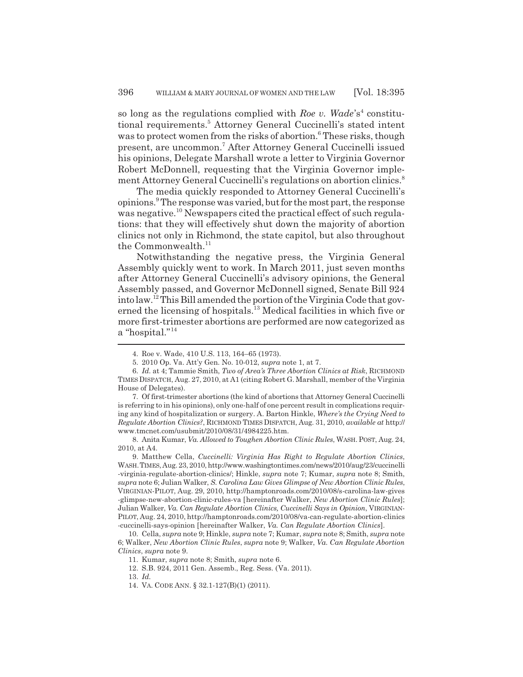so long as the regulations complied with *Roe v. Wade*'s<sup>4</sup> constitutional requirements.<sup>5</sup> Attorney General Cuccinelli's stated intent was to protect women from the risks of abortion.<sup>6</sup> These risks, though present, are uncommon.7 After Attorney General Cuccinelli issued his opinions, Delegate Marshall wrote a letter to Virginia Governor Robert McDonnell, requesting that the Virginia Governor implement Attorney General Cuccinelli's regulations on abortion clinics.<sup>8</sup>

The media quickly responded to Attorney General Cuccinelli's opinions.<sup>9</sup> The response was varied, but for the most part, the response was negative.<sup>10</sup> Newspapers cited the practical effect of such regulations: that they will effectively shut down the majority of abortion clinics not only in Richmond, the state capitol, but also throughout the Commonwealth.<sup>11</sup>

Notwithstanding the negative press, the Virginia General Assembly quickly went to work. In March 2011, just seven months after Attorney General Cuccinelli's advisory opinions, the General Assembly passed, and Governor McDonnell signed, Senate Bill 924 into law.12 This Bill amended the portion of the Virginia Code that governed the licensing of hospitals.<sup>13</sup> Medical facilities in which five or more first-trimester abortions are performed are now categorized as a "hospital."<sup>14</sup>

13. *Id.*

<sup>4.</sup> Roe v. Wade, 410 U.S. 113, 164–65 (1973).

<sup>5. 2010</sup> Op. Va. Att'y Gen. No. 10-012, *supra* note 1, at 7.

<sup>6.</sup> *Id.* at 4; Tammie Smith, *Two of Area's Three Abortion Clinics at Risk*, RICHMOND TIMES DISPATCH, Aug. 27, 2010, at A1 (citing Robert G. Marshall, member of the Virginia House of Delegates).

<sup>7.</sup> Of first-trimester abortions (the kind of abortions that Attorney General Cuccinelli is referring to in his opinions), only one-half of one percent result in complications requiring any kind of hospitalization or surgery. A. Barton Hinkle, *Where's the Crying Need to Regulate Abortion Clinics?*, RICHMOND TIMES DISPATCH, Aug. 31, 2010, *available at* http:// www.tmcnet.com/usubmit/2010/08/31/4984225.htm.

<sup>8.</sup> Anita Kumar, *Va. Allowed to Toughen Abortion Clinic Rules*, WASH.POST, Aug. 24, 2010, at A4.

<sup>9.</sup> Matthew Cella, *Cuccinelli: Virginia Has Right to Regulate Abortion Clinics*, WASH.TIMES, Aug. 23, 2010, http://www.washingtontimes.com/news/2010/aug/23/cuccinelli -virginia-regulate-abortion-clinics/; Hinkle, *supra* note 7; Kumar, *supra* note 8; Smith, *supra* note 6; Julian Walker, *S. Carolina Law Gives Glimpse of New Abortion Clinic Rules*, VIRGINIAN-PILOT, Aug. 29, 2010, http://hamptonroads.com/2010/08/s-carolina-law-gives -glimpse-new-abortion-clinic-rules-va [hereinafter Walker, *New Abortion Clinic Rules*]; Julian Walker, *Va. Can Regulate Abortion Clinics, Cuccinelli Says in Opinion*, VIRGINIAN-PILOT, Aug. 24, 2010, http://hamptonroads.com/2010/08/va-can-regulate-abortion-clinics -cuccinelli-says-opinion [hereinafter Walker, *Va. Can Regulate Abortion Clinics*].

<sup>10.</sup> Cella, *supra* note 9; Hinkle, *supra* note 7; Kumar, *supra* note 8; Smith, *supra* note 6; Walker, *New Abortion Clinic Rules*, *supra* note 9; Walker, *Va. Can Regulate Abortion Clinics*, *supra* note 9.

<sup>11.</sup> Kumar, *supra* note 8; Smith, *supra* note 6.

<sup>12.</sup> S.B. 924, 2011 Gen. Assemb., Reg. Sess. (Va. 2011).

<sup>14.</sup> VA. CODE ANN. § 32.1-127(B)(1) (2011).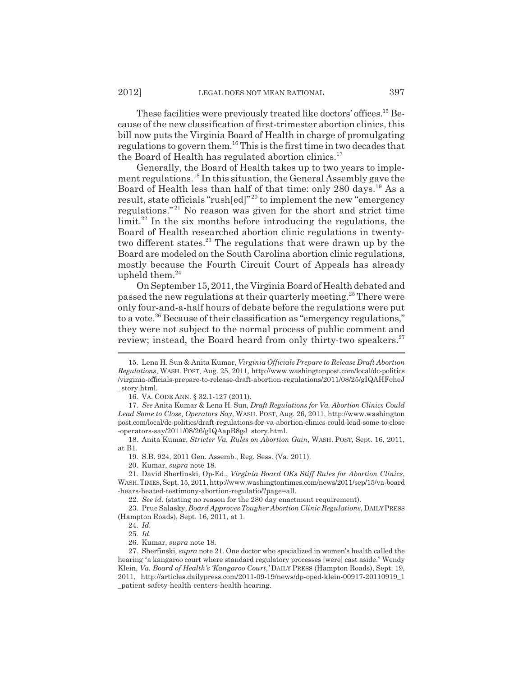These facilities were previously treated like doctors' offices.<sup>15</sup> Because of the new classification of first-trimester abortion clinics, this bill now puts the Virginia Board of Health in charge of promulgating regulations to govern them.16 This is the first time in two decades that the Board of Health has regulated abortion clinics.<sup>17</sup>

Generally, the Board of Health takes up to two years to implement regulations.18 In this situation, the General Assembly gave the Board of Health less than half of that time: only 280 days.19 As a result, state officials "rush[ed]"<sup>20</sup> to implement the new "emergency regulations." 21 No reason was given for the short and strict time  $\lim$ it.<sup>22</sup> In the six months before introducing the regulations, the Board of Health researched abortion clinic regulations in twentytwo different states.<sup>23</sup> The regulations that were drawn up by the Board are modeled on the South Carolina abortion clinic regulations, mostly because the Fourth Circuit Court of Appeals has already upheld them.<sup>24</sup>

On September 15, 2011, the Virginia Board of Health debated and passed the new regulations at their quarterly meeting.<sup>25</sup> There were only four-and-a-half hours of debate before the regulations were put to a vote.<sup>26</sup> Because of their classification as "emergency regulations," they were not subject to the normal process of public comment and review; instead, the Board heard from only thirty-two speakers.<sup>27</sup>

<sup>15.</sup> Lena H. Sun & Anita Kumar, *Virginia Officials Prepare to Release Draft Abortion Regulations*, WASH. POST, Aug. 25, 2011, http://www.washingtonpost.com/local/dc-politics /virginia-officials-prepare-to-release-draft-abortion-regulations/2011/08/25/gIQAHFoheJ \_story.html.

<sup>16.</sup> VA. CODE ANN. § 32.1-127 (2011).

<sup>17.</sup> *See* Anita Kumar & Lena H. Sun, *Draft Regulations for Va. Abortion Clinics Could Lead Some to Close, Operators Say*, WASH. POST, Aug. 26, 2011, http://www.washington post.com/local/dc-politics/draft-regulations-for-va-abortion-clinics-could-lead-some-to-close -operators-say/2011/08/26/gIQAapB8gJ\_story.html.

<sup>18.</sup> Anita Kumar, *Stricter Va. Rules on Abortion Gain*, WASH. POST, Sept. 16, 2011, at B1.

<sup>19.</sup> S.B. 924, 2011 Gen. Assemb., Reg. Sess. (Va. 2011).

<sup>20.</sup> Kumar, *supra* note 18.

<sup>21.</sup> David Sherfinski, Op-Ed., *Virginia Board OKs Stiff Rules for Abortion Clinics*, WASH.TIMES, Sept. 15, 2011, http://www.washingtontimes.com/news/2011/sep/15/va-board -hears-heated-testimony-abortion-regulatio/?page=all.

<sup>22.</sup> *See id.* (stating no reason for the 280 day enactment requirement).

<sup>23.</sup> Prue Salasky, *Board Approves Tougher Abortion Clinic Regulations*, DAILY PRESS (Hampton Roads), Sept. 16, 2011, at 1.

<sup>24.</sup> *Id.*

<sup>25.</sup> *Id.*

<sup>26.</sup> Kumar, *supra* note 18.

<sup>27.</sup> Sherfinski, *supra* note 21. One doctor who specialized in women's health called the hearing "a kangaroo court where standard regulatory processes [were] cast aside." Wendy Klein, *Va. Board of Health's 'Kangaroo Court*,*'* DAILY PRESS (Hampton Roads), Sept. 19, 2011, http://articles.dailypress.com/2011-09-19/news/dp-oped-klein-00917-20110919\_1 \_patient-safety-health-centers-health-hearing.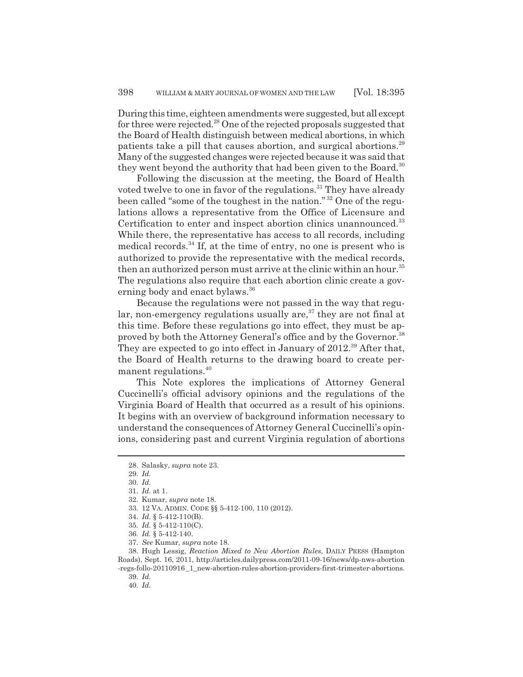During this time, eighteen amendments were suggested, but all except for three were rejected.<sup>28</sup> One of the rejected proposals suggested that the Board of Health distinguish between medical abortions, in which patients take a pill that causes abortion, and surgical abortions.29 Many of the suggested changes were rejected because it was said that they went beyond the authority that had been given to the Board.<sup>30</sup>

Following the discussion at the meeting, the Board of Health voted twelve to one in favor of the regulations.<sup>31</sup> They have already been called "some of the toughest in the nation." 32 One of the regulations allows a representative from the Office of Licensure and Certification to enter and inspect abortion clinics unannounced.<sup>33</sup> While there, the representative has access to all records, including medical records. $34$  If, at the time of entry, no one is present who is authorized to provide the representative with the medical records, then an authorized person must arrive at the clinic within an hour.<sup>35</sup> The regulations also require that each abortion clinic create a governing body and enact bylaws.<sup>36</sup>

Because the regulations were not passed in the way that regular, non-emergency regulations usually are, $37$  they are not final at this time. Before these regulations go into effect, they must be approved by both the Attorney General's office and by the Governor.<sup>38</sup> They are expected to go into effect in January of 2012.<sup>39</sup> After that, the Board of Health returns to the drawing board to create permanent regulations.40

This Note explores the implications of Attorney General Cuccinelli's official advisory opinions and the regulations of the Virginia Board of Health that occurred as a result of his opinions. It begins with an overview of background information necessary to understand the consequences of Attorney General Cuccinelli's opinions, considering past and current Virginia regulation of abortions

39. *Id.*

<sup>28.</sup> Salasky, *supra* note 23.

<sup>29.</sup> *Id.*

<sup>30.</sup> *Id.*

<sup>31.</sup> *Id.* at 1.

<sup>32.</sup> Kumar, *supra* note 18.

<sup>33. 12</sup> VA. ADMIN. CODE §§ 5-412-100, 110 (2012).

<sup>34.</sup> *Id.* § 5-412-110(B).

<sup>35.</sup> *Id.* § 5-412-110(C).

<sup>36.</sup> *Id.* § 5-412-140.

<sup>37.</sup> *See* Kumar, *supra* note 18.

<sup>38.</sup> Hugh Lessig, *Reaction Mixed to New Abortion Rules*, DAILY PRESS (Hampton Roads), Sept. 16, 2011, http://articles.dailypress.com/2011-09-16/news/dp-nws-abortion -regs-follo-20110916 \_1\_new-abortion-rules-abortion-providers-first-trimester-abortions.

<sup>40.</sup> *Id.*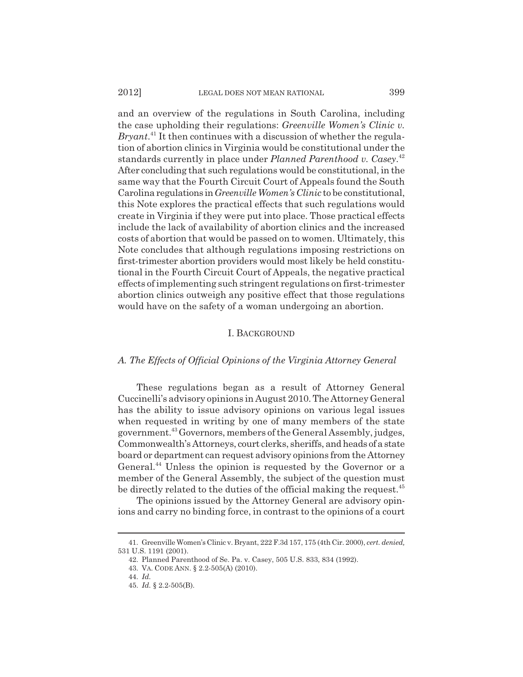and an overview of the regulations in South Carolina, including the case upholding their regulations: *Greenville Women's Clinic v. Bryant*. 41 It then continues with a discussion of whether the regulation of abortion clinics in Virginia would be constitutional under the standards currently in place under *Planned Parenthood v. Casey*. 42 After concluding that such regulations would be constitutional, in the same way that the Fourth Circuit Court of Appeals found the South Carolina regulations in *Greenville Women's Clinic* to be constitutional, this Note explores the practical effects that such regulations would create in Virginia if they were put into place. Those practical effects include the lack of availability of abortion clinics and the increased costs of abortion that would be passed on to women. Ultimately, this Note concludes that although regulations imposing restrictions on first-trimester abortion providers would most likely be held constitutional in the Fourth Circuit Court of Appeals, the negative practical effects of implementing such stringent regulations on first-trimester abortion clinics outweigh any positive effect that those regulations would have on the safety of a woman undergoing an abortion.

#### I. BACKGROUND

#### *A. The Effects of Official Opinions of the Virginia Attorney General*

These regulations began as a result of Attorney General Cuccinelli's advisory opinions in August 2010. The Attorney General has the ability to issue advisory opinions on various legal issues when requested in writing by one of many members of the state government.43 Governors, members of the General Assembly, judges, Commonwealth's Attorneys, court clerks, sheriffs, and heads of a state board or department can request advisory opinions from the Attorney General.<sup>44</sup> Unless the opinion is requested by the Governor or a member of the General Assembly, the subject of the question must be directly related to the duties of the official making the request.<sup>45</sup>

The opinions issued by the Attorney General are advisory opinions and carry no binding force, in contrast to the opinions of a court

<sup>41.</sup> Greenville Women's Clinic v. Bryant, 222 F.3d 157, 175 (4th Cir. 2000), *cert. denied,* 531 U.S. 1191 (2001).

<sup>42.</sup> Planned Parenthood of Se. Pa. v. Casey, 505 U.S. 833, 834 (1992).

<sup>43.</sup> VA. CODE ANN. § 2.2-505(A) (2010).

<sup>44.</sup> *Id.*

<sup>45.</sup> *Id.* § 2.2-505(B).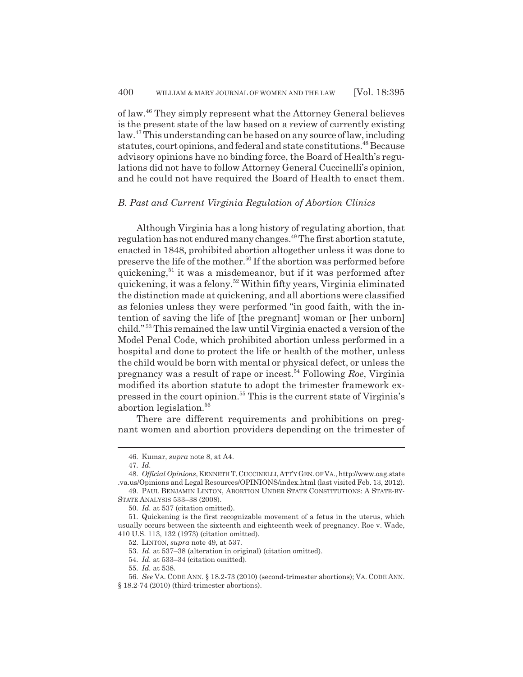of law.46 They simply represent what the Attorney General believes is the present state of the law based on a review of currently existing law.<sup>47</sup> This understanding can be based on any source of law, including statutes, court opinions, and federal and state constitutions.<sup>48</sup> Because advisory opinions have no binding force, the Board of Health's regulations did not have to follow Attorney General Cuccinelli's opinion, and he could not have required the Board of Health to enact them.

#### *B. Past and Current Virginia Regulation of Abortion Clinics*

Although Virginia has a long history of regulating abortion, that regulation has not endured many changes.49 The first abortion statute, enacted in 1848, prohibited abortion altogether unless it was done to preserve the life of the mother.<sup>50</sup> If the abortion was performed before quickening,<sup>51</sup> it was a misdemeanor, but if it was performed after quickening, it was a felony.52 Within fifty years, Virginia eliminated the distinction made at quickening, and all abortions were classified as felonies unless they were performed "in good faith, with the intention of saving the life of [the pregnant] woman or [her unborn] child." 53 This remained the law until Virginia enacted a version of the Model Penal Code, which prohibited abortion unless performed in a hospital and done to protect the life or health of the mother, unless the child would be born with mental or physical defect, or unless the pregnancy was a result of rape or incest.54 Following *Roe*, Virginia modified its abortion statute to adopt the trimester framework expressed in the court opinion.55 This is the current state of Virginia's abortion legislation.<sup>56</sup>

There are different requirements and prohibitions on pregnant women and abortion providers depending on the trimester of

<sup>46.</sup> Kumar, *supra* note 8, at A4.

<sup>47.</sup> *Id.*

<sup>48.</sup> *Official Opinions*,KENNETH T.CUCCINELLI,ATT'Y GEN. OF VA., http://www.oag.state .va.us/Opinions and Legal Resources/OPINIONS/index.html (last visited Feb. 13, 2012).

<sup>49.</sup> PAUL BENJAMIN LINTON, ABORTION UNDER STATE CONSTITUTIONS: A STATE-BY-STATE ANALYSIS 533–38 (2008).

<sup>50.</sup> *Id.* at 537 (citation omitted).

<sup>51.</sup> Quickening is the first recognizable movement of a fetus in the uterus, which usually occurs between the sixteenth and eighteenth week of pregnancy. Roe v. Wade, 410 U.S. 113, 132 (1973) (citation omitted).

<sup>52.</sup> LINTON, *supra* note 49, at 537.

<sup>53.</sup> *Id.* at 537–38 (alteration in original) (citation omitted).

<sup>54.</sup> *Id.* at 533–34 (citation omitted).

<sup>55.</sup> *Id.* at 538.

<sup>56.</sup> *See* VA. CODE ANN. § 18.2-73 (2010) (second-trimester abortions); VA. CODE ANN.

<sup>§ 18.2-74 (2010) (</sup>third-trimester abortions).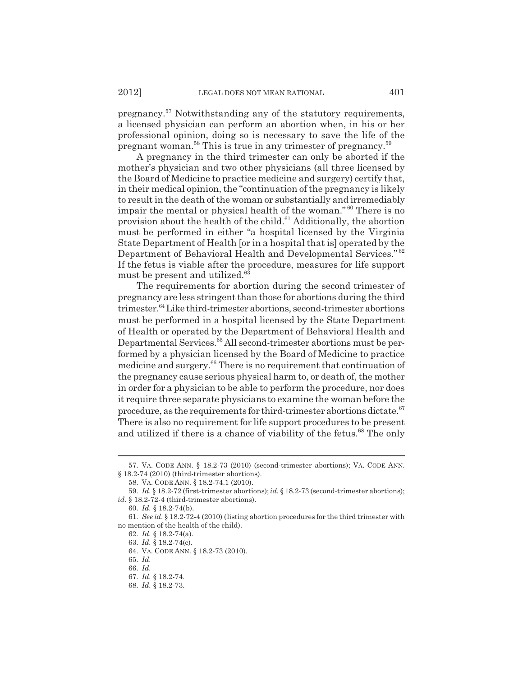pregnancy.57 Notwithstanding any of the statutory requirements, a licensed physician can perform an abortion when, in his or her professional opinion, doing so is necessary to save the life of the pregnant woman.58 This is true in any trimester of pregnancy.59

A pregnancy in the third trimester can only be aborted if the mother's physician and two other physicians (all three licensed by the Board of Medicine to practice medicine and surgery) certify that, in their medical opinion, the "continuation of the pregnancy is likely to result in the death of the woman or substantially and irremediably impair the mental or physical health of the woman." 60 There is no provision about the health of the child. $61$  Additionally, the abortion must be performed in either "a hospital licensed by the Virginia State Department of Health [or in a hospital that is] operated by the Department of Behavioral Health and Developmental Services." <sup>62</sup> If the fetus is viable after the procedure, measures for life support must be present and utilized.<sup>63</sup>

The requirements for abortion during the second trimester of pregnancy are less stringent than those for abortions during the third trimester.<sup>64</sup> Like third-trimester abortions, second-trimester abortions must be performed in a hospital licensed by the State Department of Health or operated by the Department of Behavioral Health and Departmental Services.65 All second-trimester abortions must be performed by a physician licensed by the Board of Medicine to practice medicine and surgery.<sup>66</sup> There is no requirement that continuation of the pregnancy cause serious physical harm to, or death of, the mother in order for a physician to be able to perform the procedure, nor does it require three separate physicians to examine the woman before the procedure, as the requirements for third-trimester abortions dictate. $67$ There is also no requirement for life support procedures to be present and utilized if there is a chance of viability of the fetus.<sup>68</sup> The only

<sup>57.</sup> VA. CODE ANN. § 18.2-73 (2010) (second-trimester abortions); VA. CODE ANN. § 18.2-74 (2010) (third-trimester abortions).

<sup>58.</sup> VA. CODE ANN. § 18.2-74.1 (2010).

<sup>59.</sup> *Id.* § 18.2-72 (first-trimester abortions); *id.* § 18.2-73 (second-trimester abortions); *id.* § 18.2-72-4 (third-trimester abortions).

<sup>60.</sup> *Id.* § 18.2-74(b).

<sup>61.</sup> *See id.* § 18.2-72-4 (2010) (listing abortion procedures for the third trimester with no mention of the health of the child).

<sup>62.</sup> *Id.* § 18.2-74(a).

<sup>63.</sup> *Id.* § 18.2-74(c).

<sup>64.</sup> VA. CODE ANN. § 18.2-73 (2010).

<sup>65.</sup> *Id.*

<sup>66.</sup> *Id.*

<sup>67.</sup> *Id.* § 18.2-74.

<sup>68.</sup> *Id.* § 18.2-73.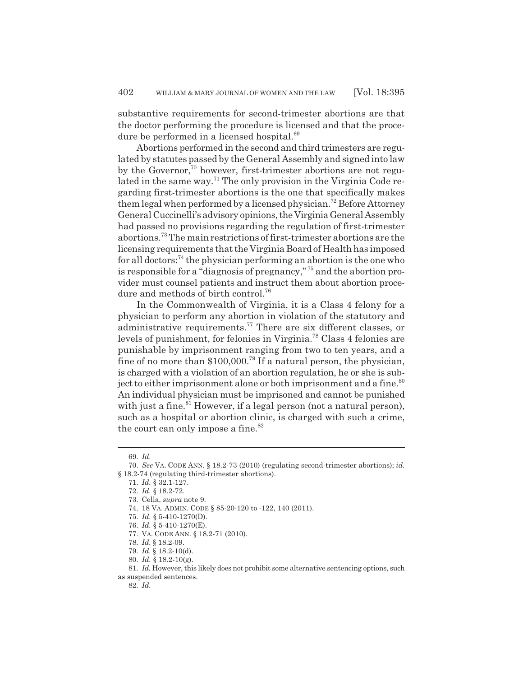substantive requirements for second-trimester abortions are that the doctor performing the procedure is licensed and that the procedure be performed in a licensed hospital.<sup>69</sup>

Abortions performed in the second and third trimesters are regulated by statutes passed by the General Assembly and signed into law by the Governor,<sup>70</sup> however, first-trimester abortions are not regulated in the same way.<sup>71</sup> The only provision in the Virginia Code regarding first-trimester abortions is the one that specifically makes them legal when performed by a licensed physician.<sup>72</sup> Before Attorney General Cuccinelli's advisory opinions, the Virginia General Assembly had passed no provisions regarding the regulation of first-trimester abortions.73 The main restrictions of first-trimester abortions are the licensing requirements that the Virginia Board of Health has imposed for all doctors: $74$  the physician performing an abortion is the one who is responsible for a "diagnosis of pregnancy," 75 and the abortion provider must counsel patients and instruct them about abortion procedure and methods of birth control.<sup>76</sup>

In the Commonwealth of Virginia, it is a Class 4 felony for a physician to perform any abortion in violation of the statutory and administrative requirements.77 There are six different classes, or levels of punishment, for felonies in Virginia.78 Class 4 felonies are punishable by imprisonment ranging from two to ten years, and a fine of no more than \$100,000.79 If a natural person, the physician, is charged with a violation of an abortion regulation, he or she is subject to either imprisonment alone or both imprisonment and a fine. $80$ An individual physician must be imprisoned and cannot be punished with just a fine.  $81$  However, if a legal person (not a natural person), such as a hospital or abortion clinic, is charged with such a crime, the court can only impose a fine.  $82$ 

<sup>69.</sup> *Id.*

<sup>70.</sup> *See* VA. CODE ANN. § 18.2-73 (2010) (regulating second-trimester abortions); *id.* § 18.2-74 (regulating third-trimester abortions).

<sup>71.</sup> *Id.* § 32.1-127.

<sup>72.</sup> *Id.* § 18.2-72.

<sup>73.</sup> Cella, *supra* note 9.

<sup>74. 18</sup> VA. ADMIN. CODE § 85-20-120 to -122, 140 (2011).

<sup>75.</sup> *Id.* § 5-410-1270(D).

<sup>76.</sup> *Id.* § 5-410-1270(E).

<sup>77.</sup> VA. CODE ANN. § 18.2-71 (2010).

<sup>78.</sup> *Id.* § 18.2-09.

<sup>79.</sup> *Id.* § 18.2-10(d).

<sup>80.</sup> *Id.* § 18.2-10(g).

<sup>81.</sup> *Id.* However, this likely does not prohibit some alternative sentencing options, such as suspended sentences.

<sup>82.</sup> *Id.*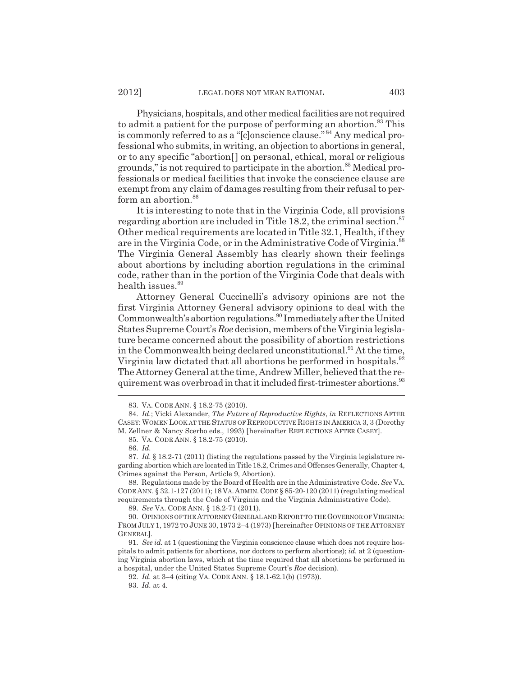Physicians, hospitals, and other medical facilities are not required to admit a patient for the purpose of performing an abortion.<sup>83</sup> This is commonly referred to as a "[c]onscience clause." 84 Any medical professional who submits, in writing, an objection to abortions in general, or to any specific "abortion[] on personal, ethical, moral or religious grounds," is not required to participate in the abortion.<sup>85</sup> Medical professionals or medical facilities that invoke the conscience clause are exempt from any claim of damages resulting from their refusal to perform an abortion.<sup>86</sup>

It is interesting to note that in the Virginia Code, all provisions regarding abortion are included in Title 18.2, the criminal section. $87$ Other medical requirements are located in Title 32.1, Health, if they are in the Virginia Code, or in the Administrative Code of Virginia.<sup>88</sup> The Virginia General Assembly has clearly shown their feelings about abortions by including abortion regulations in the criminal code, rather than in the portion of the Virginia Code that deals with health issues.<sup>89</sup>

Attorney General Cuccinelli's advisory opinions are not the first Virginia Attorney General advisory opinions to deal with the Commonwealth's abortion regulations.<sup>90</sup> Immediately after the United States Supreme Court's *Roe* decision, members of the Virginia legislature became concerned about the possibility of abortion restrictions in the Commonwealth being declared unconstitutional.<sup>91</sup> At the time, Virginia law dictated that all abortions be performed in hospitals.<sup>92</sup> The Attorney General at the time, Andrew Miller, believed that the requirement was overbroad in that it included first-trimester abortions.<sup>93</sup>

89. *See* VA. CODE ANN. § 18.2-71 (2011).

90. OPINIONS OF THE ATTORNEY GENERAL AND REPORT TO THE GOVERNOR OF VIRGINIA: FROM JULY 1, 1972 TO JUNE 30, 1973 2–4 (1973) [hereinafter OPINIONS OF THE ATTORNEY GENERAL].

<sup>83.</sup> VA. CODE ANN. § 18.2-75 (2010).

<sup>84.</sup> *Id.*; Vicki Alexander, *The Future of Reproductive Rights*, *in* REFLECTIONS AFTER CASEY: WOMEN LOOK AT THE STATUS OF REPRODUCTIVE RIGHTS IN AMERICA 3, 3 (Dorothy M. Zellner & Nancy Scerbo eds., 1993) [hereinafter REFLECTIONS AFTER CASEY].

<sup>85.</sup> VA. CODE ANN. § 18.2-75 (2010).

<sup>86.</sup> *Id.*

<sup>87.</sup> *Id.* § 18.2-71 (2011) (listing the regulations passed by the Virginia legislature regarding abortion which are located in Title 18.2, Crimes and Offenses Generally, Chapter 4, Crimes against the Person, Article 9, Abortion).

<sup>88.</sup> Regulations made by the Board of Health are in the Administrative Code. *See* VA. CODE ANN. § 32.1-127 (2011); 18 VA.ADMIN.CODE § 85-20-120 (2011) (regulating medical requirements through the Code of Virginia and the Virginia Administrative Code).

<sup>91.</sup> *See id.* at 1 (questioning the Virginia conscience clause which does not require hospitals to admit patients for abortions, nor doctors to perform abortions); *id.* at 2 (questioning Virginia abortion laws, which at the time required that all abortions be performed in a hospital, under the United States Supreme Court's *Roe* decision).

<sup>92.</sup> *Id.* at 3–4 (citing VA. CODE ANN. § 18.1-62.1(b) (1973)).

<sup>93.</sup> *Id.* at 4.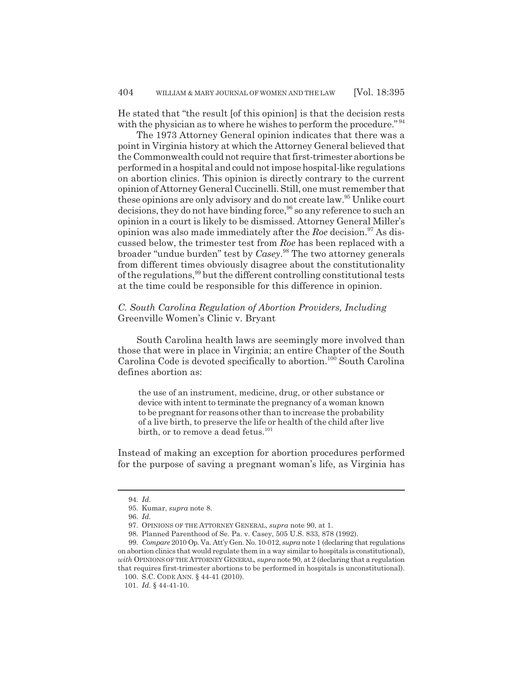He stated that "the result [of this opinion] is that the decision rests with the physician as to where he wishes to perform the procedure."<sup>94</sup>

The 1973 Attorney General opinion indicates that there was a point in Virginia history at which the Attorney General believed that the Commonwealth could not require that first-trimester abortions be performed in a hospital and could not impose hospital-like regulations on abortion clinics. This opinion is directly contrary to the current opinion of Attorney General Cuccinelli. Still, one must remember that these opinions are only advisory and do not create law.<sup>95</sup> Unlike court decisions, they do not have binding force,  $96$  so any reference to such an opinion in a court is likely to be dismissed. Attorney General Miller's opinion was also made immediately after the *Roe* decision.<sup>97</sup> As discussed below, the trimester test from *Roe* has been replaced with a broader "undue burden" test by *Casey*. 98 The two attorney generals from different times obviously disagree about the constitutionality of the regulations,<sup>99</sup> but the different controlling constitutional tests at the time could be responsible for this difference in opinion.

### *C. South Carolina Regulation of Abortion Providers, Including* Greenville Women's Clinic v. Bryant

South Carolina health laws are seemingly more involved than those that were in place in Virginia; an entire Chapter of the South Carolina Code is devoted specifically to abortion.<sup>100</sup> South Carolina defines abortion as:

the use of an instrument, medicine, drug, or other substance or device with intent to terminate the pregnancy of a woman known to be pregnant for reasons other than to increase the probability of a live birth, to preserve the life or health of the child after live birth, or to remove a dead fetus.<sup>101</sup>

Instead of making an exception for abortion procedures performed for the purpose of saving a pregnant woman's life, as Virginia has

<sup>94.</sup> *Id.*

<sup>95.</sup> Kumar, *supra* note 8.

<sup>96.</sup> *Id.*

<sup>97.</sup> OPINIONS OF THE ATTORNEY GENERAL, *supra* note 90, at 1.

<sup>98.</sup> Planned Parenthood of Se. Pa. v. Casey, 505 U.S. 833, 878 (1992).

<sup>99.</sup> *Compare* 2010 Op. Va. Att'y Gen. No. 10-012, *supra* note 1 (declaring that regulations on abortion clinics that would regulate them in a way similar to hospitals is constitutional), *with* OPINIONS OF THE ATTORNEY GENERAL, *supra* note 90, at 2 (declaring that a regulation that requires first-trimester abortions to be performed in hospitals is unconstitutional).

<sup>100.</sup> S.C. CODE ANN. § 44-41 (2010).

<sup>101.</sup> *Id.* § 44-41-10.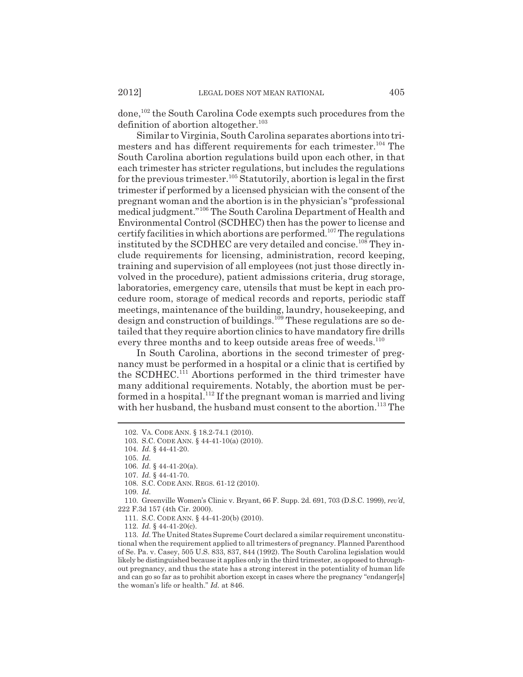done,102 the South Carolina Code exempts such procedures from the definition of abortion altogether.<sup>103</sup>

Similar to Virginia, South Carolina separates abortions into trimesters and has different requirements for each trimester.<sup>104</sup> The South Carolina abortion regulations build upon each other, in that each trimester has stricter regulations, but includes the regulations for the previous trimester.<sup>105</sup> Statutorily, abortion is legal in the first trimester if performed by a licensed physician with the consent of the pregnant woman and the abortion is in the physician's "professional medical judgment."106 The South Carolina Department of Health and Environmental Control (SCDHEC) then has the power to license and certify facilities in which abortions are performed.107 The regulations instituted by the SCDHEC are very detailed and concise.<sup>108</sup> They include requirements for licensing, administration, record keeping, training and supervision of all employees (not just those directly involved in the procedure), patient admissions criteria, drug storage, laboratories, emergency care, utensils that must be kept in each procedure room, storage of medical records and reports, periodic staff meetings, maintenance of the building, laundry, housekeeping, and design and construction of buildings.<sup>109</sup> These regulations are so detailed that they require abortion clinics to have mandatory fire drills every three months and to keep outside areas free of weeds.<sup>110</sup>

In South Carolina, abortions in the second trimester of pregnancy must be performed in a hospital or a clinic that is certified by the SCDHEC.<sup>111</sup> Abortions performed in the third trimester have many additional requirements. Notably, the abortion must be performed in a hospital.<sup>112</sup> If the pregnant woman is married and living with her husband, the husband must consent to the abortion.<sup>113</sup> The

110. Greenville Women's Clinic v. Bryant, 66 F. Supp. 2d. 691, 703 (D.S.C. 1999), *rev'd*, 222 F.3d 157 (4th Cir. 2000).

<sup>102.</sup> VA. CODE ANN. § 18.2-74.1 (2010).

<sup>103.</sup> S.C. CODE ANN. § 44-41-10(a) (2010).

<sup>104.</sup> *Id.* § 44-41-20.

<sup>105.</sup> *Id.*

<sup>106.</sup> *Id.* § 44-41-20(a).

<sup>107.</sup> *Id.* § 44-41-70.

<sup>108.</sup> S.C. CODE ANN. REGS. 61-12 (2010).

<sup>109.</sup> *Id.*

<sup>111.</sup> S.C. CODE ANN. § 44-41-20(b) (2010).

<sup>112.</sup> *Id.* § 44-41-20(c).

<sup>113.</sup> *Id.* The United States Supreme Court declared a similar requirement unconstitutional when the requirement applied to all trimesters of pregnancy. Planned Parenthood of Se. Pa. v. Casey, 505 U.S. 833, 837, 844 (1992). The South Carolina legislation would likely be distinguished because it applies only in the third trimester, as opposed to throughout pregnancy, and thus the state has a strong interest in the potentiality of human life and can go so far as to prohibit abortion except in cases where the pregnancy "endanger[s] the woman's life or health." *Id.* at 846.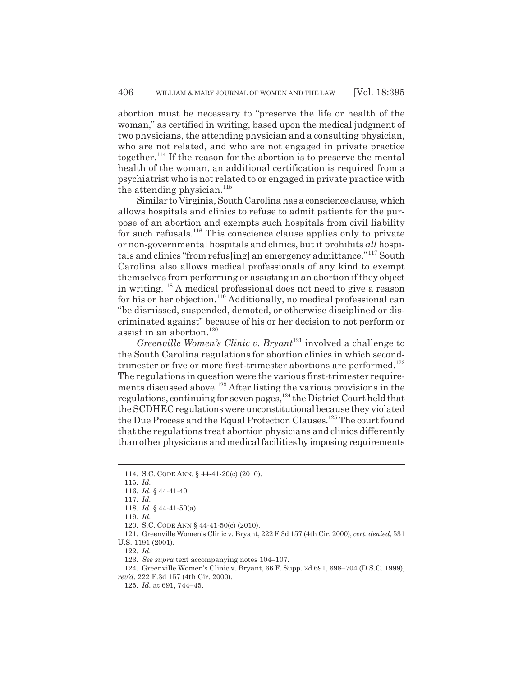abortion must be necessary to "preserve the life or health of the woman," as certified in writing, based upon the medical judgment of two physicians, the attending physician and a consulting physician, who are not related, and who are not engaged in private practice together.<sup>114</sup> If the reason for the abortion is to preserve the mental health of the woman, an additional certification is required from a psychiatrist who is not related to or engaged in private practice with the attending physician. $115$ 

Similar to Virginia, South Carolina has a conscience clause, which allows hospitals and clinics to refuse to admit patients for the purpose of an abortion and exempts such hospitals from civil liability for such refusals.<sup>116</sup> This conscience clause applies only to private or non-governmental hospitals and clinics, but it prohibits *all* hospitals and clinics "from refus[ing] an emergency admittance."117 South Carolina also allows medical professionals of any kind to exempt themselves from performing or assisting in an abortion if they object in writing.118 A medical professional does not need to give a reason for his or her objection.119 Additionally, no medical professional can "be dismissed, suspended, demoted, or otherwise disciplined or discriminated against" because of his or her decision to not perform or assist in an abortion. $120$ 

*Greenville Women's Clinic v. Bryant*<sup>121</sup> involved a challenge to the South Carolina regulations for abortion clinics in which secondtrimester or five or more first-trimester abortions are performed.<sup>122</sup> The regulations in question were the various first-trimester requirements discussed above.123 After listing the various provisions in the regulations, continuing for seven pages,<sup>124</sup> the District Court held that the SCDHEC regulations were unconstitutional because they violated the Due Process and the Equal Protection Clauses.125 The court found that the regulations treat abortion physicians and clinics differently than other physicians and medical facilities by imposing requirements

<sup>114.</sup> S.C. CODE ANN. § 44-41-20(c) (2010).

<sup>115.</sup> *Id.*

<sup>116.</sup> *Id.* § 44-41-40. 117. *Id.*

<sup>118.</sup> *Id.* § 44-41-50(a).

<sup>119.</sup> *Id.*

<sup>120.</sup> S.C. CODE ANN § 44-41-50(c) (2010).

<sup>121.</sup> Greenville Women's Clinic v. Bryant, 222 F.3d 157 (4th Cir. 2000), *cert. denied*, 531

U.S. 1191 (2001). 122. *Id.*

<sup>123.</sup> *See supra* text accompanying notes 104–107.

<sup>124.</sup> Greenville Women's Clinic v. Bryant, 66 F. Supp. 2d 691, 698–704 (D.S.C. 1999), *rev'd*, 222 F.3d 157 (4th Cir. 2000).

<sup>125.</sup> *Id.* at 691, 744–45.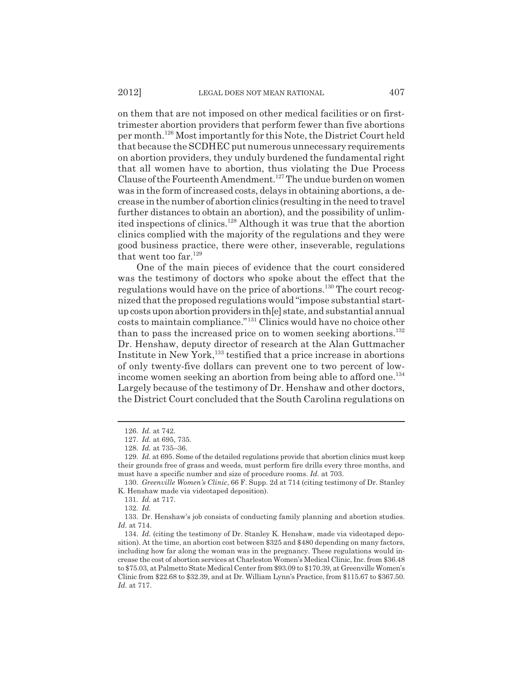on them that are not imposed on other medical facilities or on firsttrimester abortion providers that perform fewer than five abortions per month.126 Most importantly for this Note, the District Court held that because the SCDHEC put numerous unnecessary requirements on abortion providers, they unduly burdened the fundamental right that all women have to abortion, thus violating the Due Process Clause of the Fourteenth Amendment.<sup>127</sup> The undue burden on women was in the form of increased costs, delays in obtaining abortions, a decrease in the number of abortion clinics (resulting in the need to travel further distances to obtain an abortion), and the possibility of unlimited inspections of clinics.128 Although it was true that the abortion clinics complied with the majority of the regulations and they were good business practice, there were other, inseverable, regulations that went too far.<sup>129</sup>

One of the main pieces of evidence that the court considered was the testimony of doctors who spoke about the effect that the regulations would have on the price of abortions.<sup>130</sup> The court recognized that the proposed regulations would "impose substantial startup costs upon abortion providers in th[e] state, and substantial annual costs to maintain compliance."131 Clinics would have no choice other than to pass the increased price on to women seeking abortions. $132$ Dr. Henshaw, deputy director of research at the Alan Guttmacher Institute in New York,133 testified that a price increase in abortions of only twenty-five dollars can prevent one to two percent of lowincome women seeking an abortion from being able to afford one.<sup>134</sup> Largely because of the testimony of Dr. Henshaw and other doctors, the District Court concluded that the South Carolina regulations on

<sup>126.</sup> *Id.* at 742.

<sup>127.</sup> *Id.* at 695, 735.

<sup>128.</sup> *Id.* at 735–36.

<sup>129.</sup> *Id.* at 695. Some of the detailed regulations provide that abortion clinics must keep their grounds free of grass and weeds, must perform fire drills every three months, and must have a specific number and size of procedure rooms. *Id.* at 703.

<sup>130.</sup> *Greenville Women's Clinic*, 66 F. Supp. 2d at 714 (citing testimony of Dr. Stanley K. Henshaw made via videotaped deposition).

<sup>131.</sup> *Id.* at 717.

<sup>132.</sup> *Id.*

<sup>133.</sup> Dr. Henshaw's job consists of conducting family planning and abortion studies. *Id.* at 714.

<sup>134.</sup> *Id.* (citing the testimony of Dr. Stanley K. Henshaw, made via videotaped deposition). At the time, an abortion cost between \$325 and \$480 depending on many factors, including how far along the woman was in the pregnancy. These regulations would increase the cost of abortion services at Charleston Women's Medical Clinic, Inc. from \$36.48 to \$75.03, at Palmetto State Medical Center from \$93.09 to \$170.39, at Greenville Women's Clinic from \$22.68 to \$32.39, and at Dr. William Lynn's Practice, from \$115.67 to \$367.50. *Id.* at 717.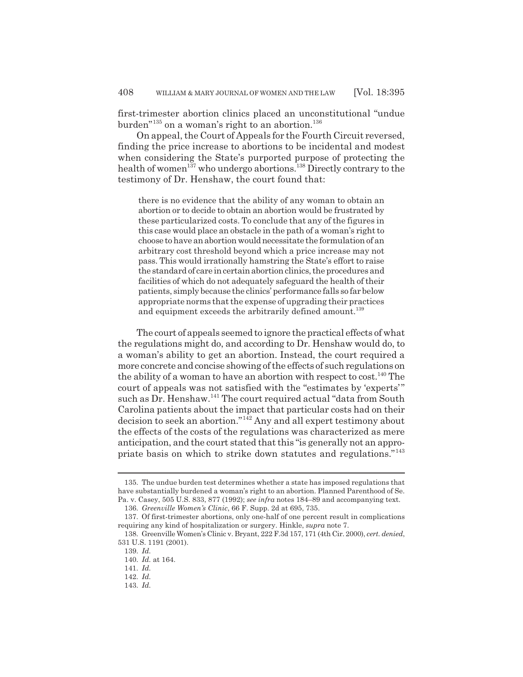first-trimester abortion clinics placed an unconstitutional "undue burden"<sup>135</sup> on a woman's right to an abortion.<sup>136</sup>

On appeal, the Court of Appeals for the Fourth Circuit reversed, finding the price increase to abortions to be incidental and modest when considering the State's purported purpose of protecting the health of women<sup>137</sup> who undergo abortions.<sup>138</sup> Directly contrary to the testimony of Dr. Henshaw, the court found that:

there is no evidence that the ability of any woman to obtain an abortion or to decide to obtain an abortion would be frustrated by these particularized costs. To conclude that any of the figures in this case would place an obstacle in the path of a woman's right to choose to have an abortion would necessitate the formulation of an arbitrary cost threshold beyond which a price increase may not pass. This would irrationally hamstring the State's effort to raise the standard of care in certain abortion clinics, the procedures and facilities of which do not adequately safeguard the health of their patients, simply because the clinics' performance falls so far below appropriate norms that the expense of upgrading their practices and equipment exceeds the arbitrarily defined amount.<sup>139</sup>

The court of appeals seemed to ignore the practical effects of what the regulations might do, and according to Dr. Henshaw would do, to a woman's ability to get an abortion. Instead, the court required a more concrete and concise showing of the effects of such regulations on the ability of a woman to have an abortion with respect to cost.<sup>140</sup> The court of appeals was not satisfied with the "estimates by 'experts'" such as Dr. Henshaw.<sup>141</sup> The court required actual "data from South Carolina patients about the impact that particular costs had on their decision to seek an abortion."142 Any and all expert testimony about the effects of the costs of the regulations was characterized as mere anticipation, and the court stated that this "is generally not an appropriate basis on which to strike down statutes and regulations."<sup>143</sup>

<sup>135.</sup> The undue burden test determines whether a state has imposed regulations that have substantially burdened a woman's right to an abortion. Planned Parenthood of Se. Pa. v. Casey, 505 U.S. 833, 877 (1992); *see infra* notes 184–89 and accompanying text.

<sup>136.</sup> *Greenville Women's Clinic*, 66 F. Supp. 2d at 695, 735.

<sup>137.</sup> Of first-trimester abortions, only one-half of one percent result in complications requiring any kind of hospitalization or surgery. Hinkle, *supra* note 7.

<sup>138.</sup> Greenville Women's Clinic v. Bryant, 222 F.3d 157, 171 (4th Cir. 2000), *cert. denied*, 531 U.S. 1191 (2001).

<sup>139.</sup> *Id.*

<sup>140.</sup> *Id.* at 164.

<sup>141.</sup> *Id.*

<sup>142.</sup> *Id.*

<sup>143.</sup> *Id.*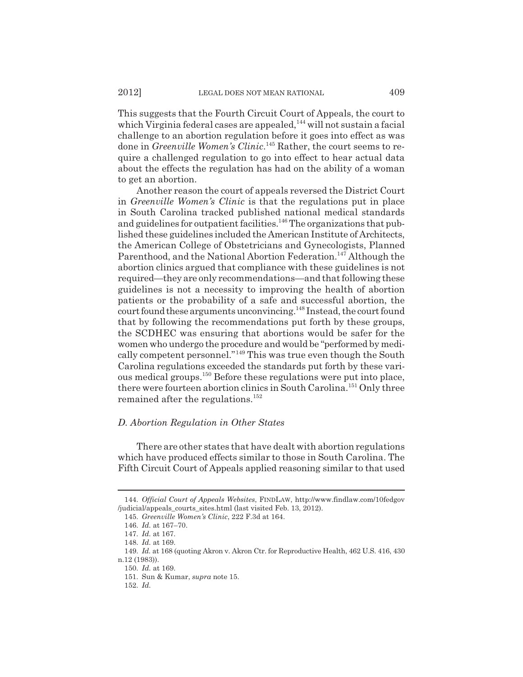This suggests that the Fourth Circuit Court of Appeals, the court to which Virginia federal cases are appealed,<sup>144</sup> will not sustain a facial challenge to an abortion regulation before it goes into effect as was done in *Greenville Women's Clinic*. 145 Rather, the court seems to require a challenged regulation to go into effect to hear actual data about the effects the regulation has had on the ability of a woman to get an abortion.

Another reason the court of appeals reversed the District Court in *Greenville Women's Clinic* is that the regulations put in place in South Carolina tracked published national medical standards and guidelines for outpatient facilities.<sup>146</sup> The organizations that published these guidelines included the American Institute of Architects, the American College of Obstetricians and Gynecologists, Planned Parenthood, and the National Abortion Federation.<sup>147</sup> Although the abortion clinics argued that compliance with these guidelines is not required—they are only recommendations—and that following these guidelines is not a necessity to improving the health of abortion patients or the probability of a safe and successful abortion, the court found these arguments unconvincing.<sup>148</sup> Instead, the court found that by following the recommendations put forth by these groups, the SCDHEC was ensuring that abortions would be safer for the women who undergo the procedure and would be "performed by medically competent personnel."149 This was true even though the South Carolina regulations exceeded the standards put forth by these various medical groups.150 Before these regulations were put into place, there were fourteen abortion clinics in South Carolina.<sup>151</sup> Only three remained after the regulations.<sup>152</sup>

#### *D. Abortion Regulation in Other States*

There are other states that have dealt with abortion regulations which have produced effects similar to those in South Carolina. The Fifth Circuit Court of Appeals applied reasoning similar to that used

<sup>144.</sup> *Official Court of Appeals Websites*, FINDLAW, http://www.findlaw.com/10fedgov /judicial/appeals\_courts\_sites.html (last visited Feb. 13, 2012).

<sup>145.</sup> *Greenville Women's Clinic*, 222 F.3d at 164.

<sup>146.</sup> *Id.* at 167–70.

<sup>147.</sup> *Id.* at 167.

<sup>148.</sup> *Id.* at 169.

<sup>149.</sup> *Id.* at 168 (quoting Akron v. Akron Ctr. for Reproductive Health, 462 U.S. 416, 430 n.12 (1983)).

<sup>150.</sup> *Id.* at 169.

<sup>151.</sup> Sun & Kumar, *supra* note 15.

<sup>152.</sup> *Id.*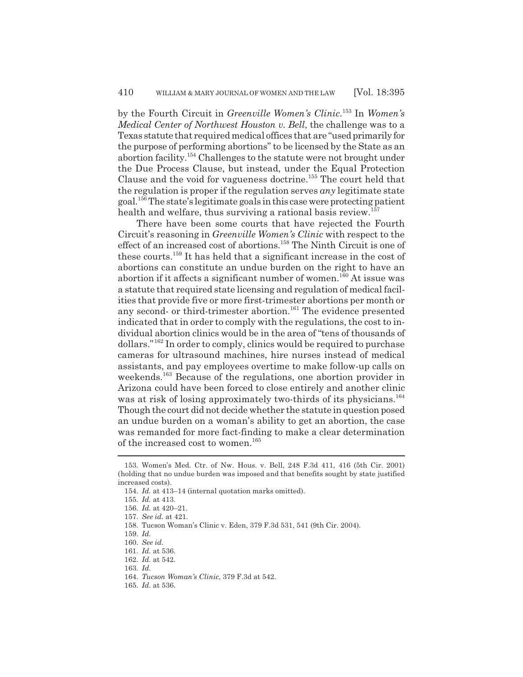by the Fourth Circuit in *Greenville Women's Clinic*. 153 In *Women's Medical Center of Northwest Houston v. Bell*, the challenge was to a Texas statute that required medical offices that are "used primarily for the purpose of performing abortions" to be licensed by the State as an abortion facility.154 Challenges to the statute were not brought under the Due Process Clause, but instead, under the Equal Protection Clause and the void for vagueness doctrine.155 The court held that the regulation is proper if the regulation serves *any* legitimate state goal.156 The state's legitimate goals in this case were protecting patient health and welfare, thus surviving a rational basis review.<sup>157</sup>

There have been some courts that have rejected the Fourth Circuit's reasoning in *Greenville Women's Clinic* with respect to the effect of an increased cost of abortions.<sup>158</sup> The Ninth Circuit is one of these courts.159 It has held that a significant increase in the cost of abortions can constitute an undue burden on the right to have an abortion if it affects a significant number of women.<sup>160</sup> At issue was a statute that required state licensing and regulation of medical facilities that provide five or more first-trimester abortions per month or any second- or third-trimester abortion.<sup>161</sup> The evidence presented indicated that in order to comply with the regulations, the cost to individual abortion clinics would be in the area of "tens of thousands of dollars."162 In order to comply, clinics would be required to purchase cameras for ultrasound machines, hire nurses instead of medical assistants, and pay employees overtime to make follow-up calls on weekends.<sup>163</sup> Because of the regulations, one abortion provider in Arizona could have been forced to close entirely and another clinic was at risk of losing approximately two-thirds of its physicians.<sup>164</sup> Though the court did not decide whether the statute in question posed an undue burden on a woman's ability to get an abortion, the case was remanded for more fact-finding to make a clear determination of the increased cost to women.<sup>165</sup>

<sup>153.</sup> Women's Med. Ctr. of Nw. Hous. v. Bell, 248 F.3d 411, 416 (5th Cir. 2001) (holding that no undue burden was imposed and that benefits sought by state justified increased costs).

<sup>154.</sup> *Id.* at 413–14 (internal quotation marks omitted).

<sup>155.</sup> *Id.* at 413.

<sup>156.</sup> *Id.* at 420–21.

<sup>157.</sup> *See id.* at 421.

<sup>158.</sup> Tucson Woman's Clinic v. Eden, 379 F.3d 531, 541 (9th Cir. 2004).

<sup>159.</sup> *Id.*

<sup>160.</sup> *See id.*

<sup>161.</sup> *Id.* at 536.

<sup>162.</sup> *Id.* at 542.

<sup>163.</sup> *Id.*

<sup>164.</sup> *Tucson Woman's Clinic*, 379 F.3d at 542.

<sup>165.</sup> *Id.* at 536.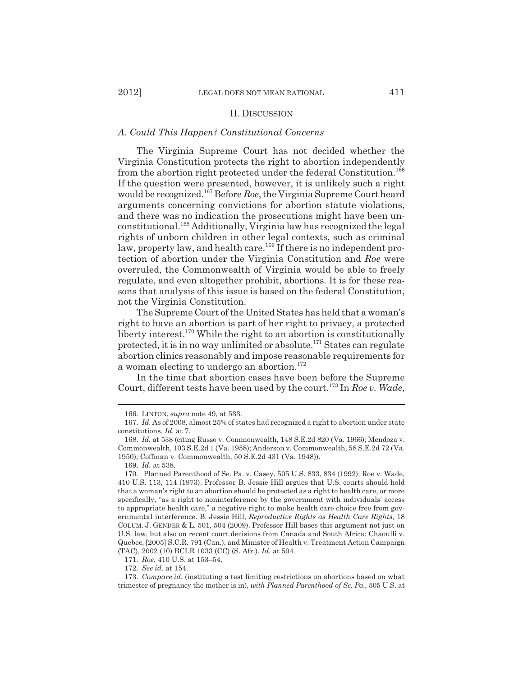#### II. DISCUSSION

#### *A. Could This Happen? Constitutional Concerns*

The Virginia Supreme Court has not decided whether the Virginia Constitution protects the right to abortion independently from the abortion right protected under the federal Constitution.<sup>166</sup> If the question were presented, however, it is unlikely such a right would be recognized.167 Before *Roe*, the Virginia Supreme Court heard arguments concerning convictions for abortion statute violations, and there was no indication the prosecutions might have been unconstitutional.168 Additionally, Virginia law has recognized the legal rights of unborn children in other legal contexts, such as criminal law, property law, and health care.<sup>169</sup> If there is no independent protection of abortion under the Virginia Constitution and *Roe* were overruled, the Commonwealth of Virginia would be able to freely regulate, and even altogether prohibit, abortions. It is for these reasons that analysis of this issue is based on the federal Constitution, not the Virginia Constitution.

The Supreme Court of the United States has held that a woman's right to have an abortion is part of her right to privacy, a protected liberty interest.<sup>170</sup> While the right to an abortion is constitutionally protected, it is in no way unlimited or absolute.171 States can regulate abortion clinics reasonably and impose reasonable requirements for a woman electing to undergo an abortion.<sup>172</sup>

In the time that abortion cases have been before the Supreme Court, different tests have been used by the court.<sup>173</sup> In *Roe v. Wade*,

171. *Roe*, 410 U.S. at 153–54.

172. *See id.* at 154.

<sup>166.</sup> LINTON, *supra* note 49, at 533.

<sup>167.</sup> *Id.* As of 2008, almost 25% of states had recognized a right to abortion under state constitutions. *Id.* at 7.

<sup>168.</sup> *Id.* at 538 (citing Russo v. Commonwealth, 148 S.E.2d 820 (Va. 1966); Mendoza v. Commonwealth, 103 S.E.2d 1 (Va. 1958); Anderson v. Commonwealth, 58 S.E.2d 72 (Va. 1950); Coffman v. Commonwealth, 50 S.E.2d 431 (Va. 1948)).

<sup>169.</sup> *Id.* at 538.

<sup>170.</sup> Planned Parenthood of Se. Pa. v. Casey, 505 U.S. 833, 834 (1992); Roe v. Wade, 410 U.S. 113, 114 (1973). Professor B. Jessie Hill argues that U.S. courts should hold that a woman's right to an abortion should be protected as a right to health care, or more specifically, "as a right to noninterference by the government with individuals' access to appropriate health care," a negative right to make health care choice free from governmental interference. B. Jessie Hill, *Reproductive Rights as Health Care Rights*, 18 COLUM. J. GENDER & L. 501, 504 (2009). Professor Hill bases this argument not just on U.S. law, but also on recent court decisions from Canada and South Africa: Chaoulli v. Quebec, [2005] S.C.R. 791 (Can.), and Minister of Health v. Treatment Action Campaign (TAC), 2002 (10) BCLR 1033 (CC) (S. Afr.). *Id.* at 504.

<sup>173.</sup> *Compare id.* (instituting a test limiting restrictions on abortions based on what trimester of pregnancy the mother is in), *with Planned Parenthood of Se. Pa.*, 505 U.S. at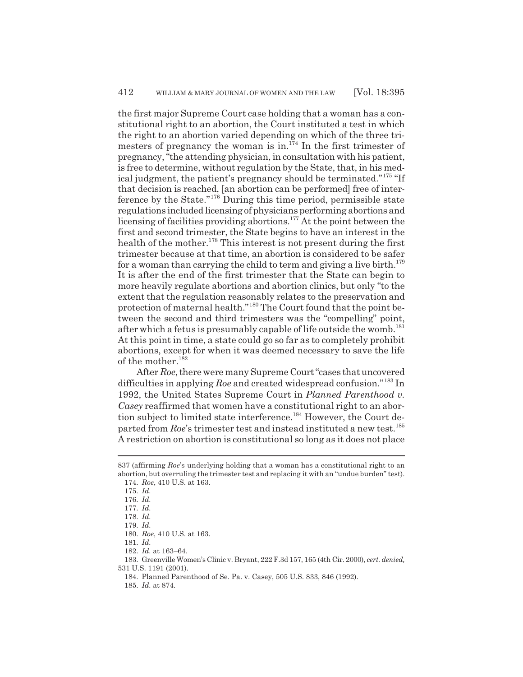the first major Supreme Court case holding that a woman has a constitutional right to an abortion, the Court instituted a test in which the right to an abortion varied depending on which of the three trimesters of pregnancy the woman is in. $174$  In the first trimester of pregnancy, "the attending physician, in consultation with his patient, is free to determine, without regulation by the State, that, in his medical judgment, the patient's pregnancy should be terminated."175 "If that decision is reached, [an abortion can be performed] free of interference by the State."176 During this time period, permissible state regulations included licensing of physicians performing abortions and licensing of facilities providing abortions.177 At the point between the first and second trimester, the State begins to have an interest in the health of the mother.<sup>178</sup> This interest is not present during the first trimester because at that time, an abortion is considered to be safer for a woman than carrying the child to term and giving a live birth.<sup>179</sup> It is after the end of the first trimester that the State can begin to more heavily regulate abortions and abortion clinics, but only "to the extent that the regulation reasonably relates to the preservation and protection of maternal health."180 The Court found that the point between the second and third trimesters was the "compelling" point, after which a fetus is presumably capable of life outside the womb.<sup>181</sup> At this point in time, a state could go so far as to completely prohibit abortions, except for when it was deemed necessary to save the life of the mother. $182$ 

After *Roe*, there were many Supreme Court "cases that uncovered difficulties in applying *Roe* and created widespread confusion."183 In 1992, the United States Supreme Court in *Planned Parenthood v. Casey* reaffirmed that women have a constitutional right to an abortion subject to limited state interference.184 However, the Court departed from *Roe*'s trimester test and instead instituted a new test.<sup>185</sup> A restriction on abortion is constitutional so long as it does not place

<sup>837 (</sup>affirming *Roe*'s underlying holding that a woman has a constitutional right to an abortion, but overruling the trimester test and replacing it with an "undue burden" test). 174. *Roe*, 410 U.S. at 163.

<sup>175.</sup> *Id.*

<sup>176.</sup> *Id.*

<sup>177.</sup> *Id.*

<sup>178.</sup> *Id.*

<sup>179.</sup> *Id.*

<sup>180.</sup> *Roe*, 410 U.S. at 163.

<sup>181.</sup> *Id.*

<sup>182.</sup> *Id.* at 163–64.

<sup>183.</sup> Greenville Women's Clinic v. Bryant, 222 F.3d 157, 165 (4th Cir. 2000), *cert. denied,* 531 U.S. 1191 (2001).

<sup>184.</sup> Planned Parenthood of Se. Pa. v. Casey, 505 U.S. 833, 846 (1992).

<sup>185.</sup> *Id.* at 874.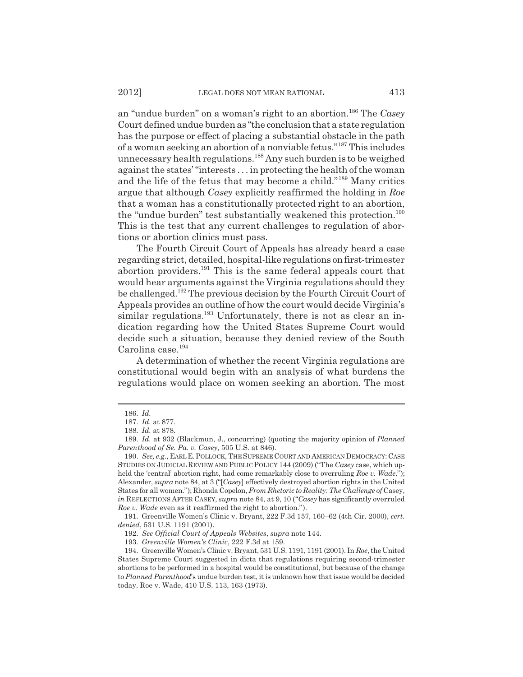an "undue burden" on a woman's right to an abortion.186 The *Casey* Court defined undue burden as "the conclusion that a state regulation has the purpose or effect of placing a substantial obstacle in the path of a woman seeking an abortion of a nonviable fetus."187 This includes unnecessary health regulations.<sup>188</sup> Any such burden is to be weighed against the states' "interests . . . in protecting the health of the woman and the life of the fetus that may become a child."189 Many critics argue that although *Casey* explicitly reaffirmed the holding in *Roe* that a woman has a constitutionally protected right to an abortion, the "undue burden" test substantially weakened this protection.<sup>190</sup> This is the test that any current challenges to regulation of abortions or abortion clinics must pass.

The Fourth Circuit Court of Appeals has already heard a case regarding strict, detailed, hospital-like regulations on first-trimester abortion providers.191 This is the same federal appeals court that would hear arguments against the Virginia regulations should they be challenged.192 The previous decision by the Fourth Circuit Court of Appeals provides an outline of how the court would decide Virginia's similar regulations.<sup>193</sup> Unfortunately, there is not as clear an indication regarding how the United States Supreme Court would decide such a situation, because they denied review of the South Carolina case.194

A determination of whether the recent Virginia regulations are constitutional would begin with an analysis of what burdens the regulations would place on women seeking an abortion. The most

<sup>186.</sup> *Id.*

<sup>187.</sup> *Id.* at 877.

<sup>188.</sup> *Id.* at 878.

<sup>189.</sup> *Id.* at 932 (Blackmun, J., concurring) (quoting the majority opinion of *Planned Parenthood of Se. Pa. v. Casey*, 505 U.S. at 846).

<sup>190.</sup> *See, e.g.*, EARL E.POLLOCK, THE SUPREME COURT AND AMERICAN DEMOCRACY: CASE STUDIES ON JUDICIAL REVIEW AND PUBLIC POLICY 144 (2009) ("The *Casey* case, which upheld the 'central' abortion right, had come remarkably close to overruling *Roe v. Wade*."); Alexander, *supra* note 84, at 3 ("[*Casey*] effectively destroyed abortion rights in the United States for all women."); Rhonda Copelon, *From Rhetoric to Reality: The Challenge of* Casey, *in* REFLECTIONS AFTER CASEY, *supra* note 84, at 9, 10 ("*Casey* has significantly overruled *Roe v. Wade* even as it reaffirmed the right to abortion.").

<sup>191.</sup> Greenville Women's Clinic v. Bryant, 222 F.3d 157, 160–62 (4th Cir. 2000), *cert. denied*, 531 U.S. 1191 (2001).

<sup>192.</sup> *See Official Court of Appeals Websites*, *supra* note 144.

<sup>193.</sup> *Greenville Women's Clinic*, 222 F.3d at 159.

<sup>194.</sup> Greenville Women's Clinic v. Bryant, 531 U.S. 1191, 1191 (2001). In *Roe*, the United States Supreme Court suggested in dicta that regulations requiring second-trimester abortions to be performed in a hospital would be constitutional, but because of the change to *Planned Parenthood*'s undue burden test, it is unknown how that issue would be decided today. Roe v. Wade, 410 U.S. 113, 163 (1973).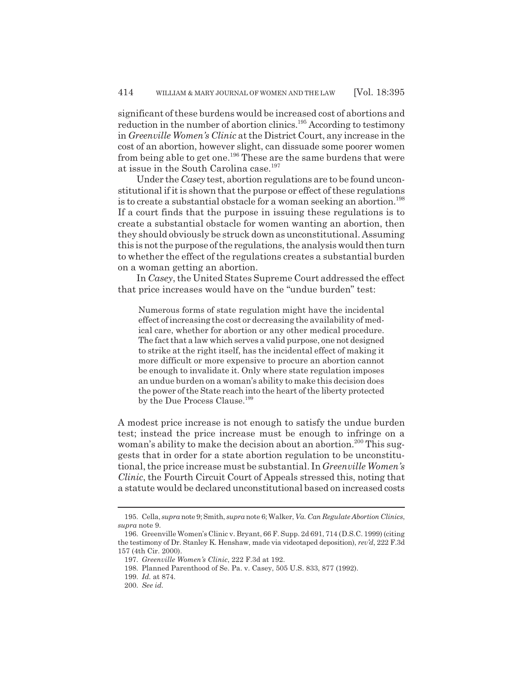significant of these burdens would be increased cost of abortions and reduction in the number of abortion clinics.<sup>195</sup> According to testimony in *Greenville Women's Clinic* at the District Court, any increase in the cost of an abortion, however slight, can dissuade some poorer women from being able to get one.<sup>196</sup> These are the same burdens that were at issue in the South Carolina case.<sup>197</sup>

Under the *Casey* test, abortion regulations are to be found unconstitutional if it is shown that the purpose or effect of these regulations is to create a substantial obstacle for a woman seeking an abortion.<sup>198</sup> If a court finds that the purpose in issuing these regulations is to create a substantial obstacle for women wanting an abortion, then they should obviously be struck down as unconstitutional. Assuming this is not the purpose of the regulations, the analysis would then turn to whether the effect of the regulations creates a substantial burden on a woman getting an abortion.

In *Casey*, the United States Supreme Court addressed the effect that price increases would have on the "undue burden" test:

Numerous forms of state regulation might have the incidental effect of increasing the cost or decreasing the availability of medical care, whether for abortion or any other medical procedure. The fact that a law which serves a valid purpose, one not designed to strike at the right itself, has the incidental effect of making it more difficult or more expensive to procure an abortion cannot be enough to invalidate it. Only where state regulation imposes an undue burden on a woman's ability to make this decision does the power of the State reach into the heart of the liberty protected by the Due Process Clause.<sup>199</sup>

A modest price increase is not enough to satisfy the undue burden test; instead the price increase must be enough to infringe on a woman's ability to make the decision about an abortion.<sup>200</sup> This suggests that in order for a state abortion regulation to be unconstitutional, the price increase must be substantial. In *Greenville Women's Clinic*, the Fourth Circuit Court of Appeals stressed this, noting that a statute would be declared unconstitutional based on increased costs

<sup>195.</sup> Cella, *supra* note 9; Smith, *supra* note 6; Walker, *Va. Can Regulate Abortion Clinics*, *supra* note 9.

<sup>196.</sup> Greenville Women's Clinic v. Bryant, 66 F. Supp. 2d 691, 714 (D.S.C. 1999) (citing the testimony of Dr. Stanley K. Henshaw, made via videotaped deposition), *rev'd*, 222 F.3d 157 (4th Cir. 2000).

<sup>197.</sup> *Greenville Women's Clinic*, 222 F.3d at 192.

<sup>198.</sup> Planned Parenthood of Se. Pa. v. Casey, 505 U.S. 833, 877 (1992).

<sup>199.</sup> *Id.* at 874.

<sup>200.</sup> *See id.*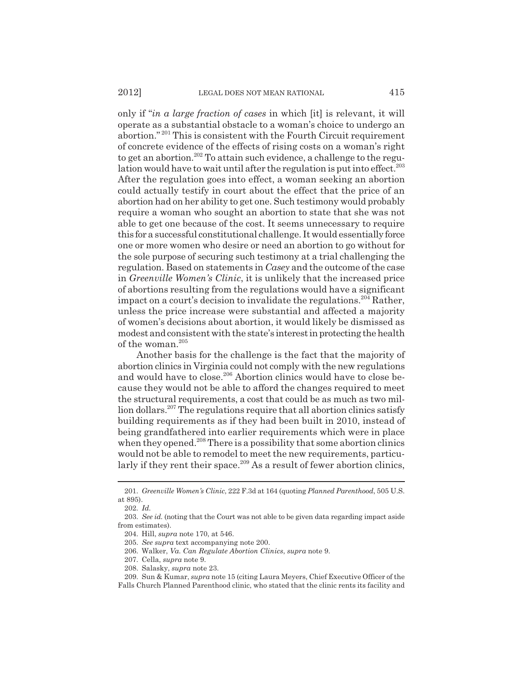only if "*in a large fraction of cases* in which [it] is relevant, it will operate as a substantial obstacle to a woman's choice to undergo an abortion." 201 This is consistent with the Fourth Circuit requirement of concrete evidence of the effects of rising costs on a woman's right to get an abortion.<sup>202</sup> To attain such evidence, a challenge to the regulation would have to wait until after the regulation is put into effect.<sup>203</sup> After the regulation goes into effect, a woman seeking an abortion could actually testify in court about the effect that the price of an abortion had on her ability to get one. Such testimony would probably require a woman who sought an abortion to state that she was not able to get one because of the cost. It seems unnecessary to require this for a successful constitutional challenge. It would essentially force one or more women who desire or need an abortion to go without for the sole purpose of securing such testimony at a trial challenging the regulation. Based on statements in *Casey* and the outcome of the case in *Greenville Women's Clinic*, it is unlikely that the increased price of abortions resulting from the regulations would have a significant impact on a court's decision to invalidate the regulations.  $204$  Rather, unless the price increase were substantial and affected a majority of women's decisions about abortion, it would likely be dismissed as modest and consistent with the state's interest in protecting the health of the woman.<sup>205</sup>

Another basis for the challenge is the fact that the majority of abortion clinics in Virginia could not comply with the new regulations and would have to close.<sup>206</sup> Abortion clinics would have to close because they would not be able to afford the changes required to meet the structural requirements, a cost that could be as much as two million dollars.<sup>207</sup> The regulations require that all abortion clinics satisfy building requirements as if they had been built in 2010, instead of being grandfathered into earlier requirements which were in place when they opened.<sup>208</sup> There is a possibility that some abortion clinics would not be able to remodel to meet the new requirements, particularly if they rent their space.<sup>209</sup> As a result of fewer abortion clinics,

<sup>201.</sup> *Greenville Women's Clinic*, 222 F.3d at 164 (quoting *Planned Parenthood*, 505 U.S. at 895).

<sup>202.</sup> *Id.*

<sup>203.</sup> *See id.* (noting that the Court was not able to be given data regarding impact aside from estimates).

<sup>204.</sup> Hill, *supra* note 170, at 546.

<sup>205.</sup> *See supra* text accompanying note 200.

<sup>206.</sup> Walker, *Va. Can Regulate Abortion Clinics*, *supra* note 9.

<sup>207.</sup> Cella, *supra* note 9.

<sup>208.</sup> Salasky, *supra* note 23.

<sup>209.</sup> Sun & Kumar, *supra* note 15 (citing Laura Meyers, Chief Executive Officer of the Falls Church Planned Parenthood clinic, who stated that the clinic rents its facility and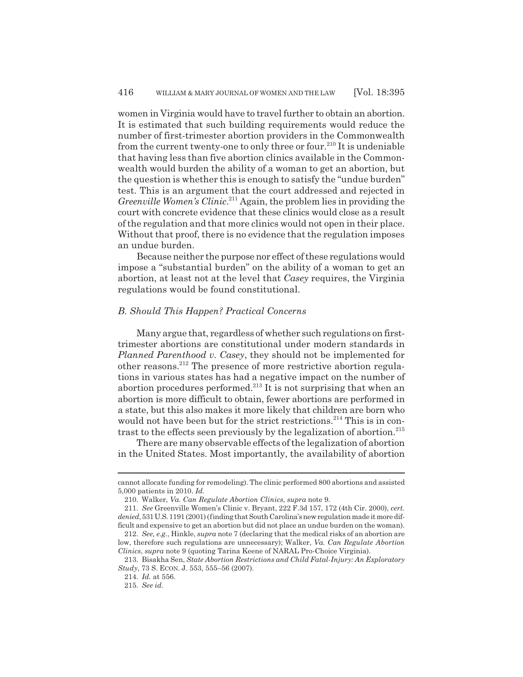women in Virginia would have to travel further to obtain an abortion. It is estimated that such building requirements would reduce the number of first-trimester abortion providers in the Commonwealth from the current twenty-one to only three or four.<sup>210</sup> It is undeniable that having less than five abortion clinics available in the Commonwealth would burden the ability of a woman to get an abortion, but the question is whether this is enough to satisfy the "undue burden" test. This is an argument that the court addressed and rejected in *Greenville Women's Clinic*. 211 Again, the problem lies in providing the court with concrete evidence that these clinics would close as a result of the regulation and that more clinics would not open in their place. Without that proof, there is no evidence that the regulation imposes an undue burden.

Because neither the purpose nor effect of these regulations would impose a "substantial burden" on the ability of a woman to get an abortion, at least not at the level that *Casey* requires, the Virginia regulations would be found constitutional.

#### *B. Should This Happen? Practical Concerns*

Many argue that, regardless of whether such regulations on firsttrimester abortions are constitutional under modern standards in *Planned Parenthood v. Casey*, they should not be implemented for other reasons.212 The presence of more restrictive abortion regulations in various states has had a negative impact on the number of abortion procedures performed.<sup>213</sup> It is not surprising that when an abortion is more difficult to obtain, fewer abortions are performed in a state, but this also makes it more likely that children are born who would not have been but for the strict restrictions.<sup>214</sup> This is in contrast to the effects seen previously by the legalization of abortion.<sup>215</sup>

There are many observable effects of the legalization of abortion in the United States. Most importantly, the availability of abortion

cannot allocate funding for remodeling). The clinic performed 800 abortions and assisted 5,000 patients in 2010. *Id.*

<sup>210.</sup> Walker, *Va. Can Regulate Abortion Clinics*, *supra* note 9.

<sup>211.</sup> *See* Greenville Women's Clinic v. Bryant, 222 F.3d 157, 172 (4th Cir. 2000), *cert. denied*, 531 U.S. 1191 (2001) (finding that South Carolina's new regulation made it more difficult and expensive to get an abortion but did not place an undue burden on the woman).

<sup>212.</sup> *See, e.g.*, Hinkle, *supra* note 7 (declaring that the medical risks of an abortion are low, therefore such regulations are unnecessary); Walker, *Va. Can Regulate Abortion Clinics*, *supra* note 9 (quoting Tarina Keene of NARAL Pro-Choice Virginia).

<sup>213.</sup> Bisakha Sen, *State Abortion Restrictions and Child Fatal-Injury: An Exploratory Study*, 73 S. ECON. J. 553, 555–56 (2007).

<sup>214.</sup> *Id.* at 556.

<sup>215.</sup> *See id.*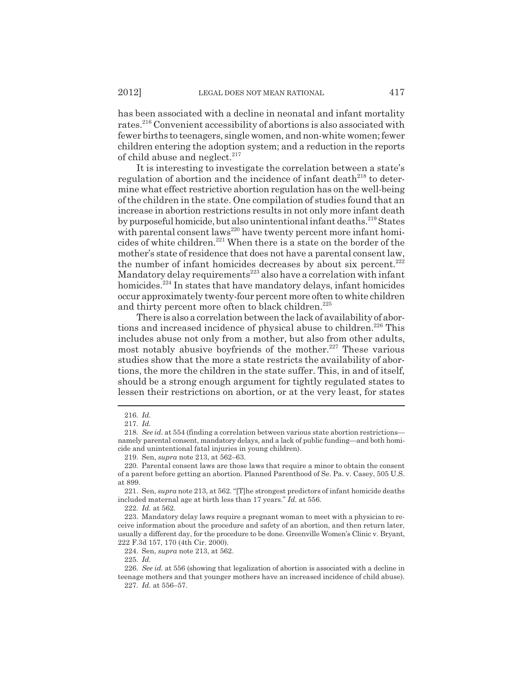has been associated with a decline in neonatal and infant mortality rates.216 Convenient accessibility of abortions is also associated with fewer births to teenagers, single women, and non-white women; fewer children entering the adoption system; and a reduction in the reports of child abuse and neglect.<sup>217</sup>

It is interesting to investigate the correlation between a state's regulation of abortion and the incidence of infant death $^{218}$  to determine what effect restrictive abortion regulation has on the well-being of the children in the state. One compilation of studies found that an increase in abortion restrictions results in not only more infant death by purposeful homicide, but also unintentional infant deaths.<sup>219</sup> States with parental consent laws<sup>220</sup> have twenty percent more infant homicides of white children.221 When there is a state on the border of the mother's state of residence that does not have a parental consent law, the number of infant homicides decreases by about six percent. $222$ Mandatory delay requirements<sup>223</sup> also have a correlation with infant homicides.<sup>224</sup> In states that have mandatory delays, infant homicides occur approximately twenty-four percent more often to white children and thirty percent more often to black children.<sup>225</sup>

There is also a correlation between the lack of availability of abortions and increased incidence of physical abuse to children.<sup>226</sup> This includes abuse not only from a mother, but also from other adults, most notably abusive boyfriends of the mother.<sup>227</sup> These various studies show that the more a state restricts the availability of abortions, the more the children in the state suffer. This, in and of itself, should be a strong enough argument for tightly regulated states to lessen their restrictions on abortion, or at the very least, for states

224. Sen, *supra* note 213, at 562.

225. *Id.*

<sup>216.</sup> *Id.*

<sup>217.</sup> *Id.*

<sup>218.</sup> *See id.* at 554 (finding a correlation between various state abortion restrictions namely parental consent, mandatory delays, and a lack of public funding—and both homicide and unintentional fatal injuries in young children).

<sup>219.</sup> Sen, *supra* note 213, at 562–63.

<sup>220.</sup> Parental consent laws are those laws that require a minor to obtain the consent of a parent before getting an abortion. Planned Parenthood of Se. Pa. v. Casey, 505 U.S. at 899.

<sup>221.</sup> Sen, *supra* note 213, at 562. "[T]he strongest predictors of infant homicide deaths included maternal age at birth less than 17 years." *Id.* at 556.

<sup>222.</sup> *Id.* at 562.

<sup>223.</sup> Mandatory delay laws require a pregnant woman to meet with a physician to receive information about the procedure and safety of an abortion, and then return later, usually a different day, for the procedure to be done. Greenville Women's Clinic v. Bryant, 222 F.3d 157, 170 (4th Cir. 2000).

<sup>226.</sup> *See id.* at 556 (showing that legalization of abortion is associated with a decline in teenage mothers and that younger mothers have an increased incidence of child abuse). 227. *Id.* at 556–57.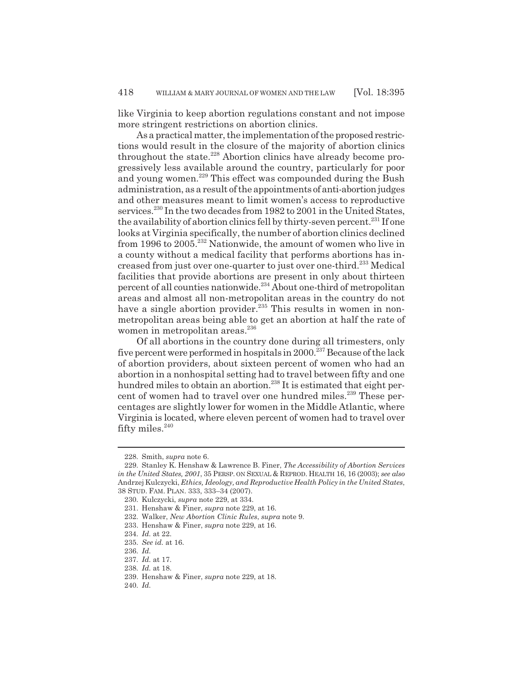like Virginia to keep abortion regulations constant and not impose more stringent restrictions on abortion clinics.

As a practical matter, the implementation of the proposed restrictions would result in the closure of the majority of abortion clinics throughout the state.<sup>228</sup> Abortion clinics have already become progressively less available around the country, particularly for poor and young women.<sup>229</sup> This effect was compounded during the Bush administration, as a result of the appointments of anti-abortion judges and other measures meant to limit women's access to reproductive services.<sup>230</sup> In the two decades from 1982 to 2001 in the United States, the availability of abortion clinics fell by thirty-seven percent.<sup>231</sup> If one looks at Virginia specifically, the number of abortion clinics declined from 1996 to 2005.232 Nationwide, the amount of women who live in a county without a medical facility that performs abortions has increased from just over one-quarter to just over one-third.233 Medical facilities that provide abortions are present in only about thirteen percent of all counties nationwide.234 About one-third of metropolitan areas and almost all non-metropolitan areas in the country do not have a single abortion provider. $235$  This results in women in nonmetropolitan areas being able to get an abortion at half the rate of women in metropolitan areas.<sup>236</sup>

Of all abortions in the country done during all trimesters, only five percent were performed in hospitals in  $2000$ .<sup>237</sup> Because of the lack of abortion providers, about sixteen percent of women who had an abortion in a nonhospital setting had to travel between fifty and one hundred miles to obtain an abortion.<sup>238</sup> It is estimated that eight percent of women had to travel over one hundred miles.<sup>239</sup> These percentages are slightly lower for women in the Middle Atlantic, where Virginia is located, where eleven percent of women had to travel over fifty miles.<sup>240</sup>

<sup>228.</sup> Smith, *supra* note 6.

<sup>229.</sup> Stanley K. Henshaw & Lawrence B. Finer, *The Accessibility of Abortion Services in the United States, 2001*, 35 PERSP. ON SEXUAL & REPROD. HEALTH 16, 16 (2003); *see also* Andrzej Kulczycki, *Ethics, Ideology, and Reproductive Health Policy in the United States*, 38 STUD. FAM. PLAN. 333, 333–34 (2007).

<sup>230.</sup> Kulczycki, *supra* note 229, at 334.

<sup>231.</sup> Henshaw & Finer, *supra* note 229, at 16.

<sup>232.</sup> Walker, *New Abortion Clinic Rules*, *supra* note 9.

<sup>233.</sup> Henshaw & Finer, *supra* note 229, at 16.

<sup>234.</sup> *Id.* at 22.

<sup>235.</sup> *See id.* at 16.

<sup>236.</sup> *Id.*

<sup>237.</sup> *Id.* at 17.

<sup>238.</sup> *Id.* at 18.

<sup>239.</sup> Henshaw & Finer, *supra* note 229, at 18.

<sup>240.</sup> *Id.*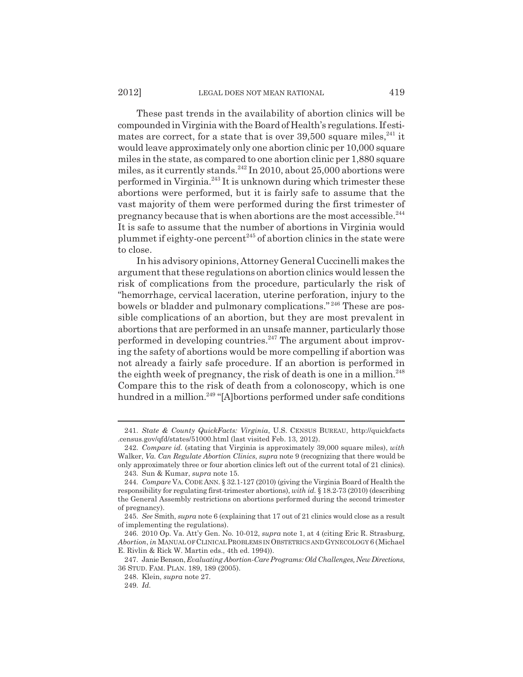These past trends in the availability of abortion clinics will be compounded in Virginia with the Board of Health's regulations. If estimates are correct, for a state that is over  $39,500$  square miles,  $241$  it would leave approximately only one abortion clinic per 10,000 square miles in the state, as compared to one abortion clinic per 1,880 square miles, as it currently stands.<sup>242</sup> In 2010, about 25,000 abortions were performed in Virginia.243 It is unknown during which trimester these abortions were performed, but it is fairly safe to assume that the vast majority of them were performed during the first trimester of pregnancy because that is when abortions are the most accessible.244 It is safe to assume that the number of abortions in Virginia would plummet if eighty-one percent<sup>245</sup> of abortion clinics in the state were to close.

In his advisory opinions, Attorney General Cuccinelli makes the argument that these regulations on abortion clinics would lessen the risk of complications from the procedure, particularly the risk of "hemorrhage, cervical laceration, uterine perforation, injury to the bowels or bladder and pulmonary complications." 246 These are possible complications of an abortion, but they are most prevalent in abortions that are performed in an unsafe manner, particularly those performed in developing countries.<sup>247</sup> The argument about improving the safety of abortions would be more compelling if abortion was not already a fairly safe procedure. If an abortion is performed in the eighth week of pregnancy, the risk of death is one in a million.<sup>248</sup> Compare this to the risk of death from a colonoscopy, which is one hundred in a million.<sup>249</sup> "[A]bortions performed under safe conditions

<sup>241.</sup> *State & County QuickFacts: Virginia*, U.S. CENSUS BUREAU, http://quickfacts .census.gov/qfd/states/51000.html (last visited Feb. 13, 2012).

<sup>242.</sup> *Compare id.* (stating that Virginia is approximately 39,000 square miles), *with* Walker, *Va. Can Regulate Abortion Clinics*, *supra* note 9 (recognizing that there would be only approximately three or four abortion clinics left out of the current total of 21 clinics).

<sup>243.</sup> Sun & Kumar, *supra* note 15.

<sup>244.</sup> *Compare* VA. CODE ANN. § 32.1-127 (2010) (giving the Virginia Board of Health the responsibility for regulating first-trimester abortions), *with id.* § 18.2-73 (2010) (describing the General Assembly restrictions on abortions performed during the second trimester of pregnancy).

<sup>245.</sup> *See* Smith, *supra* note 6 (explaining that 17 out of 21 clinics would close as a result of implementing the regulations).

<sup>246. 2010</sup> Op. Va. Att'y Gen. No. 10-012, *supra* note 1, at 4 (citing Eric R. Strasburg, *Abortion*, *in* MANUAL OF CLINICAL PROBLEMS IN OBSTETRICS AND GYNECOLOGY 6 (Michael E. Rivlin & Rick W. Martin eds., 4th ed. 1994)).

<sup>247.</sup> Janie Benson, *Evaluating Abortion-Care Programs: Old Challenges, New Directions*, 36 STUD. FAM. PLAN. 189, 189 (2005).

<sup>248.</sup> Klein, *supra* note 27.

<sup>249.</sup> *Id.*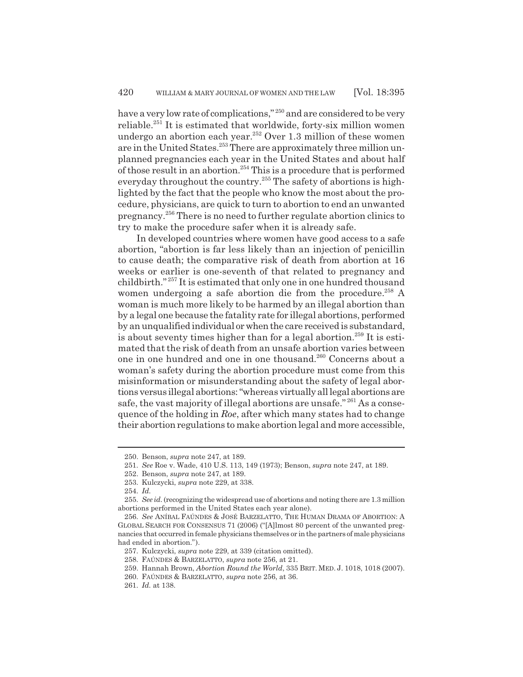have a very low rate of complications,"<sup>250</sup> and are considered to be very reliable.251 It is estimated that worldwide, forty-six million women undergo an abortion each year.252 Over 1.3 million of these women are in the United States.<sup>253</sup> There are approximately three million unplanned pregnancies each year in the United States and about half of those result in an abortion.<sup>254</sup> This is a procedure that is performed everyday throughout the country.<sup>255</sup> The safety of abortions is highlighted by the fact that the people who know the most about the procedure, physicians, are quick to turn to abortion to end an unwanted pregnancy.256 There is no need to further regulate abortion clinics to try to make the procedure safer when it is already safe.

In developed countries where women have good access to a safe abortion, "abortion is far less likely than an injection of penicillin to cause death; the comparative risk of death from abortion at 16 weeks or earlier is one-seventh of that related to pregnancy and childbirth." 257 It is estimated that only one in one hundred thousand women undergoing a safe abortion die from the procedure.<sup>258</sup> A woman is much more likely to be harmed by an illegal abortion than by a legal one because the fatality rate for illegal abortions, performed by an unqualified individual or when the care received is substandard, is about seventy times higher than for a legal abortion.<sup>259</sup> It is estimated that the risk of death from an unsafe abortion varies between one in one hundred and one in one thousand.260 Concerns about a woman's safety during the abortion procedure must come from this misinformation or misunderstanding about the safety of legal abortions versus illegal abortions: "whereas virtually all legal abortions are safe, the vast majority of illegal abortions are unsafe."<sup>261</sup> As a consequence of the holding in *Roe*, after which many states had to change their abortion regulations to make abortion legal and more accessible,

<sup>250.</sup> Benson, *supra* note 247, at 189.

<sup>251.</sup> *See* Roe v. Wade, 410 U.S. 113, 149 (1973); Benson, *supra* note 247, at 189.

<sup>252.</sup> Benson, *supra* note 247, at 189.

<sup>253.</sup> Kulczycki, *supra* note 229, at 338.

<sup>254.</sup> *Id.*

<sup>255.</sup> *See id*. (recognizing the widespread use of abortions and noting there are 1.3 million abortions performed in the United States each year alone).

<sup>256.</sup> *See* ANÍBAL FAÚNDES & JOSÉ BARZELATTO, THE HUMAN DRAMA OF ABORTION: A GLOBAL SEARCH FOR CONSENSUS 71 (2006) ("[A]lmost 80 percent of the unwanted pregnancies that occurred in female physicians themselves or in the partners of male physicians had ended in abortion.").

<sup>257.</sup> Kulczycki, *supra* note 229, at 339 (citation omitted).

<sup>258.</sup> FAÚNDES & BARZELATTO, *supra* note 256, at 21.

<sup>259.</sup> Hannah Brown, *Abortion Round the World*, 335 BRIT. MED. J. 1018, 1018 (2007).

<sup>260.</sup> FAÚNDES & BARZELATTO, *supra* note 256, at 36.

<sup>261.</sup> *Id.* at 138.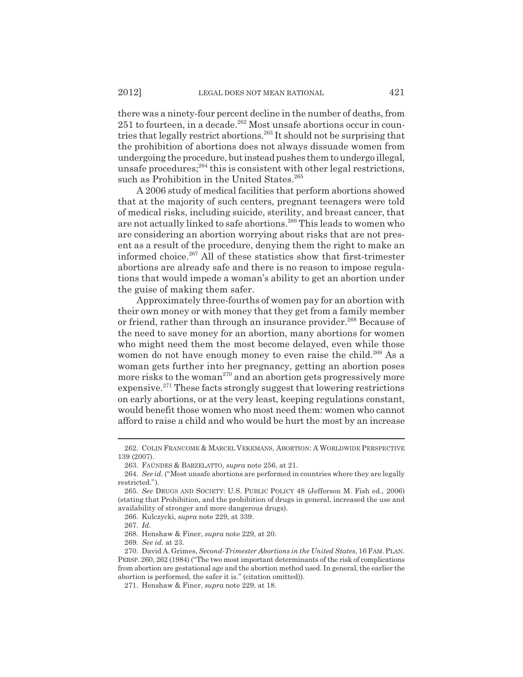there was a ninety-four percent decline in the number of deaths, from 251 to fourteen, in a decade.<sup>262</sup> Most unsafe abortions occur in countries that legally restrict abortions.263 It should not be surprising that the prohibition of abortions does not always dissuade women from undergoing the procedure, but instead pushes them to undergo illegal, unsafe procedures;  $264$  this is consistent with other legal restrictions, such as Prohibition in the United States.<sup>265</sup>

A 2006 study of medical facilities that perform abortions showed that at the majority of such centers, pregnant teenagers were told of medical risks, including suicide, sterility, and breast cancer, that are not actually linked to safe abortions.266 This leads to women who are considering an abortion worrying about risks that are not present as a result of the procedure, denying them the right to make an informed choice.<sup>267</sup> All of these statistics show that first-trimester abortions are already safe and there is no reason to impose regulations that would impede a woman's ability to get an abortion under the guise of making them safer.

Approximately three-fourths of women pay for an abortion with their own money or with money that they get from a family member or friend, rather than through an insurance provider.<sup>268</sup> Because of the need to save money for an abortion, many abortions for women who might need them the most become delayed, even while those women do not have enough money to even raise the child.<sup>269</sup> As a woman gets further into her pregnancy, getting an abortion poses more risks to the woman<sup>270</sup> and an abortion gets progressively more expensive.<sup>271</sup> These facts strongly suggest that lowering restrictions on early abortions, or at the very least, keeping regulations constant, would benefit those women who most need them: women who cannot afford to raise a child and who would be hurt the most by an increase

<sup>262.</sup> COLIN FRANCOME & MARCEL VEKEMANS, ABORTION: A WORLDWIDE PERSPECTIVE 139 (2007).

<sup>263.</sup> FAÚNDES & BARZELATTO, *supra* note 256, at 21.

<sup>264.</sup> *See id.* ("Most unsafe abortions are performed in countries where they are legally restricted.").

<sup>265.</sup> *See* DRUGS AND SOCIETY: U.S. PUBLIC POLICY 48 (Jefferson M. Fish ed., 2006) (stating that Prohibition, and the prohibition of drugs in general, increased the use and availability of stronger and more dangerous drugs).

<sup>266.</sup> Kulczycki, *supra* note 229, at 339.

<sup>267.</sup> *Id.*

<sup>268.</sup> Henshaw & Finer, *supra* note 229, at 20.

<sup>269.</sup> *See id.* at 23.

<sup>270.</sup> David A. Grimes, *Second-Trimester Abortions in the United States*, 16 FAM.PLAN. PERSP. 260, 262 (1984) ("The two most important determinants of the risk of complications from abortion are gestational age and the abortion method used. In general, the earlier the abortion is performed, the safer it is." (citation omitted)).

<sup>271.</sup> Henshaw & Finer, *supra* note 229, at 18.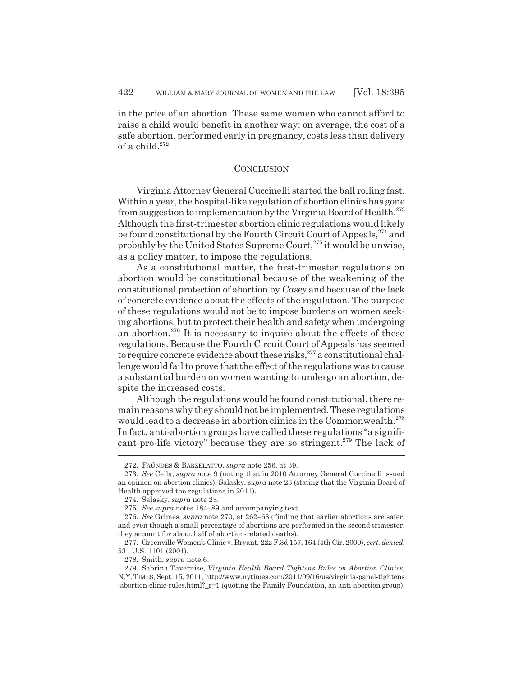in the price of an abortion. These same women who cannot afford to raise a child would benefit in another way: on average, the cost of a safe abortion, performed early in pregnancy, costs less than delivery of a child.<sup>272</sup>

#### **CONCLUSION**

Virginia Attorney General Cuccinelli started the ball rolling fast. Within a year, the hospital-like regulation of abortion clinics has gone from suggestion to implementation by the Virginia Board of Health. $^{273}$ Although the first-trimester abortion clinic regulations would likely be found constitutional by the Fourth Circuit Court of Appeals,<sup>274</sup> and probably by the United States Supreme Court,<sup>275</sup> it would be unwise, as a policy matter, to impose the regulations.

As a constitutional matter, the first-trimester regulations on abortion would be constitutional because of the weakening of the constitutional protection of abortion by *Casey* and because of the lack of concrete evidence about the effects of the regulation. The purpose of these regulations would not be to impose burdens on women seeking abortions, but to protect their health and safety when undergoing an abortion.<sup>276</sup> It is necessary to inquire about the effects of these regulations. Because the Fourth Circuit Court of Appeals has seemed to require concrete evidence about these risks,  $277$  a constitutional challenge would fail to prove that the effect of the regulations was to cause a substantial burden on women wanting to undergo an abortion, despite the increased costs.

Although the regulations would be found constitutional, there remain reasons why they should not be implemented. These regulations would lead to a decrease in abortion clinics in the Commonwealth.<sup>278</sup> In fact, anti-abortion groups have called these regulations "a significant pro-life victory" because they are so stringent.<sup>279</sup> The lack of

<sup>272.</sup> FAÚNDES & BARZELATTO, *supra* note 256, at 39.

<sup>273.</sup> *See* Cella, *supra* note 9 (noting that in 2010 Attorney General Cuccinelli issued an opinion on abortion clinics); Salasky, *supra* note 23 (stating that the Virginia Board of Health approved the regulations in 2011).

<sup>274.</sup> Salasky, *supra* note 23.

<sup>275.</sup> *See supra* notes 184–89 and accompanying text.

<sup>276.</sup> *See* Grimes, *supra* note 270, at 262–63 (finding that earlier abortions are safer, and even though a small percentage of abortions are performed in the second trimester, they account for about half of abortion-related deaths).

<sup>277.</sup> Greenville Women's Clinic v. Bryant, 222 F.3d 157, 164 (4th Cir. 2000), *cert. denied*, 531 U.S. 1101 (2001).

<sup>278.</sup> Smith, *supra* note 6.

<sup>279.</sup> Sabrina Tavernise, *Virginia Health Board Tightens Rules on Abortion Clinics*, N.Y.TIMES, Sept. 15, 2011, http://www.nytimes.com/2011/09/16/us/virginia-panel-tightens -abortion-clinic-rules.html?\_r=1 (quoting the Family Foundation, an anti-abortion group).